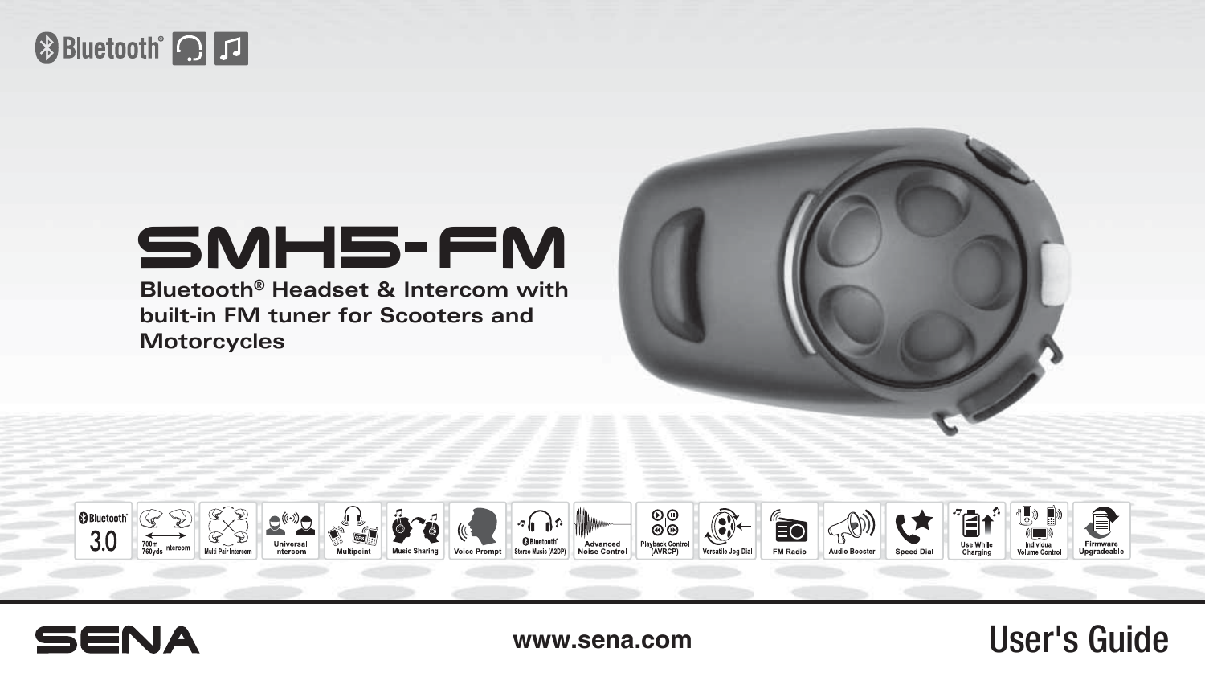## **& Bluetooth Q**

# $SMH$  $5$ - $FM$

**Bluetooth® Headset & Intercom with built-in FM tuner for Scooters and Motorcycles**





<www.sena.com> User's Guide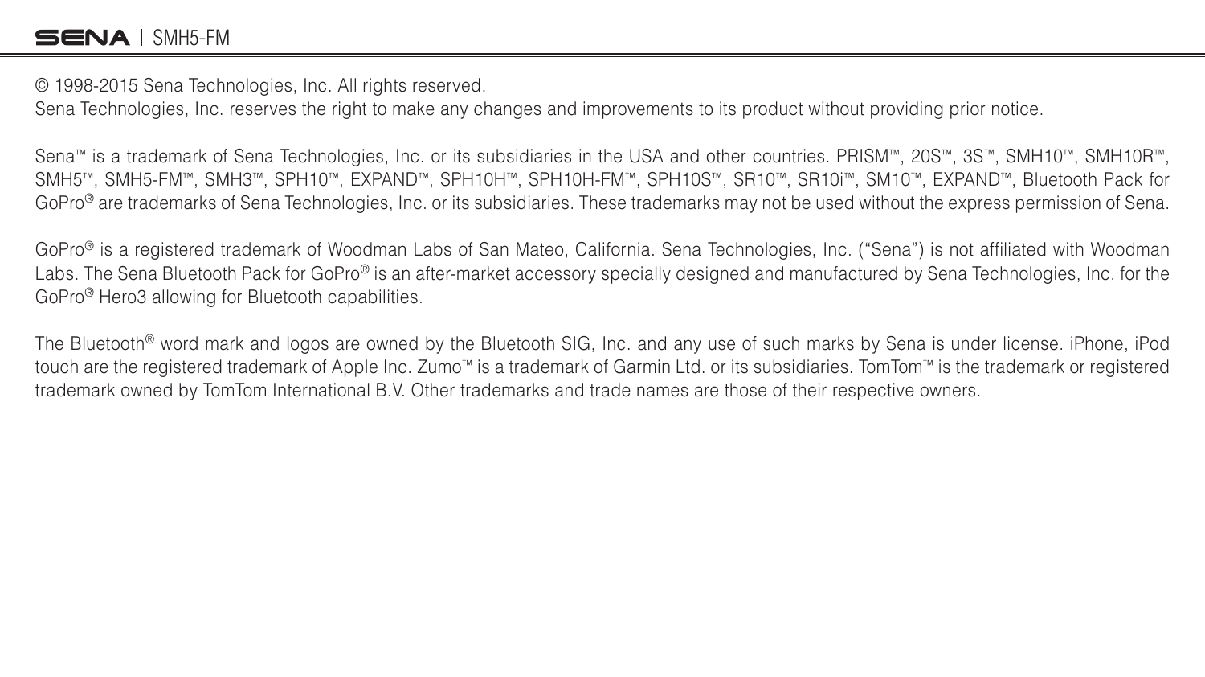#### SENA I SMH5-FM

© 1998-2015 Sena Technologies, Inc. All rights reserved.

Sena Technologies, Inc. reserves the right to make any changes and improvements to its product without providing prior notice.

Sena™ is a trademark of Sena Technologies, Inc. or its subsidiaries in the USA and other countries. PRISM™, 20S™, 3S™, SMH10™, SMH10R™, SMH5™, SMH5-FM™, SMH3™, SPH10™, EXPAND™, SPH10H™, SPH10H-FM™, SPH10S™, SR10™, SR10i™, SM10™, EXPAND™, Bluetooth Pack for GoPro® are trademarks of Sena Technologies, Inc. or its subsidiaries. These trademarks may not be used without the express permission of Sena.

GoPro® is a registered trademark of Woodman Labs of San Mateo, California. Sena Technologies, Inc. ("Sena") is not affiliated with Woodman Labs. The Sena Bluetooth Pack for GoPro® is an after-market accessory specially designed and manufactured by Sena Technologies, Inc. for the GoPro® Hero3 allowing for Bluetooth capabilities.

The Bluetooth® word mark and logos are owned by the Bluetooth SIG, Inc. and any use of such marks by Sena is under license. iPhone, iPod touch are the registered trademark of Apple Inc. Zumo™ is a trademark of Garmin Ltd. or its subsidiaries. TomTom™ is the trademark or registered trademark owned by TomTom International B.V. Other trademarks and trade names are those of their respective owners.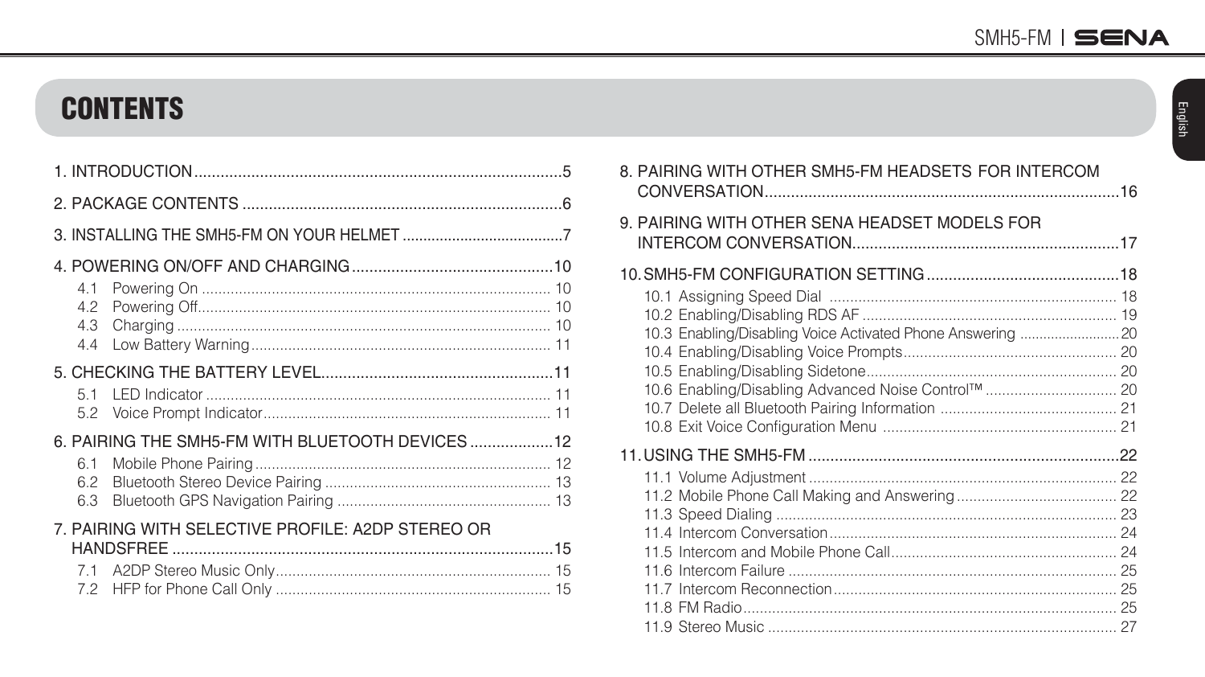### **CONTENTS**

| 4.3        |                                                   |  |
|------------|---------------------------------------------------|--|
|            |                                                   |  |
|            |                                                   |  |
|            |                                                   |  |
|            | 6. PAIRING THE SMH5-FM WITH BLUETOOTH DEVICES 12  |  |
| 6.1        |                                                   |  |
| 6.2<br>6.3 |                                                   |  |
|            | 7. PAIRING WITH SELECTIVE PROFILE: A2DP STEREO OR |  |
|            |                                                   |  |
|            |                                                   |  |

| 8. PAIRING WITH OTHER SMH5-FM HEADSETS FOR INTERCOM         |  |  |
|-------------------------------------------------------------|--|--|
| 9. PAIRING WITH OTHER SENA HEADSET MODELS FOR               |  |  |
|                                                             |  |  |
| 10.3 Enabling/Disabling Voice Activated Phone Answering  20 |  |  |
|                                                             |  |  |
|                                                             |  |  |
|                                                             |  |  |
|                                                             |  |  |
|                                                             |  |  |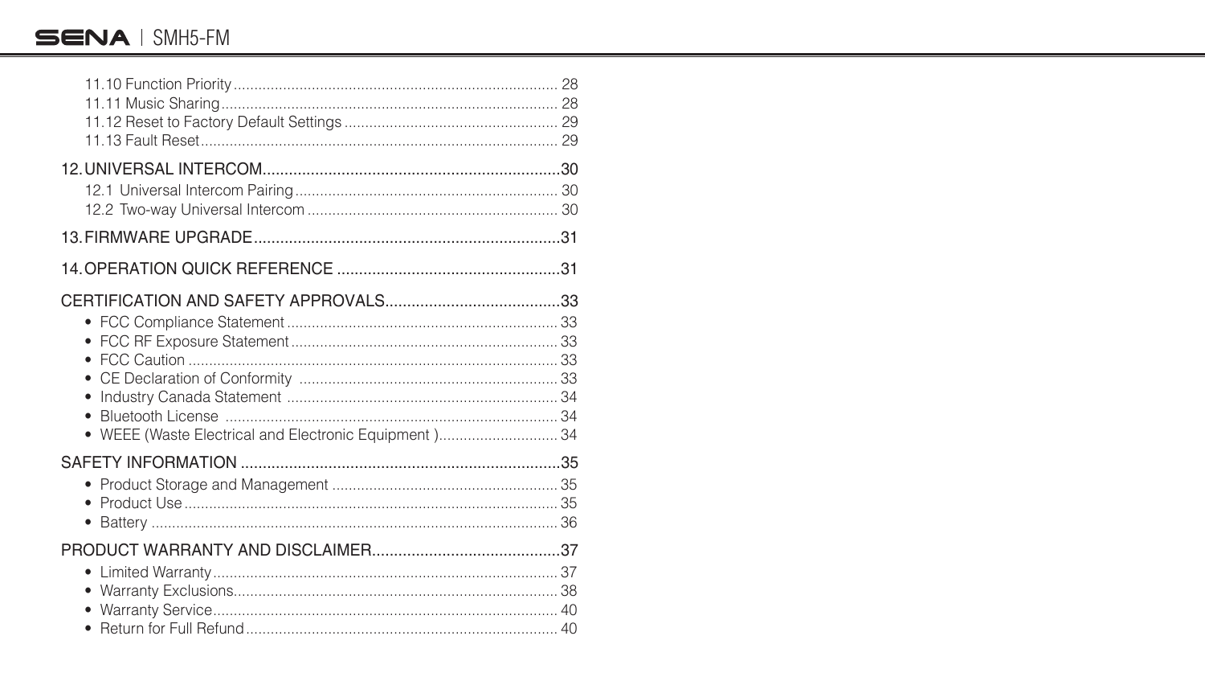#### SENA I SMH5-FM

| • WEEE (Waste Electrical and Electronic Equipment) 34 |  |
|-------------------------------------------------------|--|
|                                                       |  |
|                                                       |  |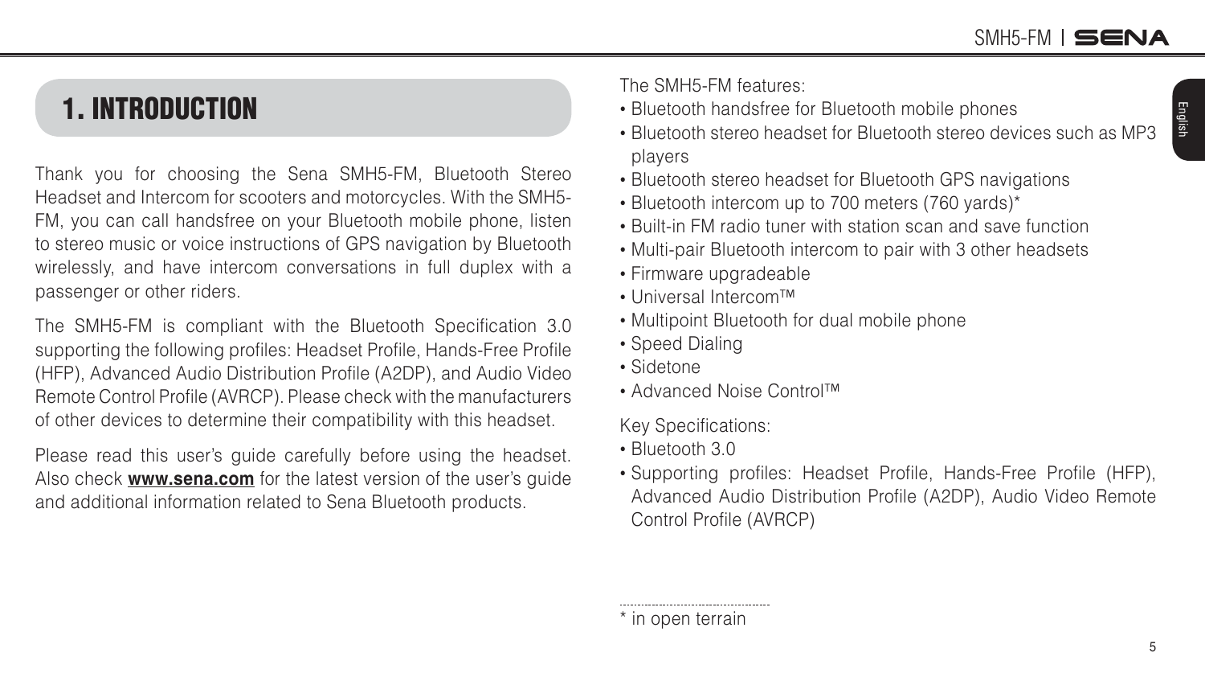5

English

### <span id="page-4-0"></span>1. INTRODUCTION

Thank you for choosing the Sena SMH5-FM, Bluetooth Stereo Headset and Intercom for scooters and motorcycles. With the SMH5- FM, you can call handsfree on your Bluetooth mobile phone, listen to stereo music or voice instructions of GPS navigation by Bluetooth wirelessly, and have intercom conversations in full duplex with a passenger or other riders.

The SMH5-FM is compliant with the Bluetooth Specification 3.0 supporting the following profiles: Headset Profile, Hands-Free Profile (HFP), Advanced Audio Distribution Profile (A2DP), and Audio Video Remote Control Profile (AVRCP). Please check with the manufacturers of other devices to determine their compatibility with this headset.

Please read this user's guide carefully before using the headset. Also check **<www.sena.com>** for the latest version of the user's guide and additional information related to Sena Bluetooth products.

The SMH5-FM features

- Bluetooth handsfree for Bluetooth mobile phones
- Bluetooth stereo headset for Bluetooth stereo devices such as MP3 players
- Bluetooth stereo headset for Bluetooth GPS navigations
- Bluetooth intercom up to 700 meters (760 yards)\*
- Built-in FM radio tuner with station scan and save function
- Multi-pair Bluetooth intercom to pair with 3 other headsets
- Firmware upgradeable
- Universal Intercom™
- Multipoint Bluetooth for dual mobile phone
- Speed Dialing
- Sidetone
- Advanced Noise Control™

Key Specifications:

- Bluetooth 3.0
- Supporting profiles: Headset Profile, Hands-Free Profile (HFP), Advanced Audio Distribution Profile (A2DP), Audio Video Remote Control Profile (AVRCP)

\* in open terrain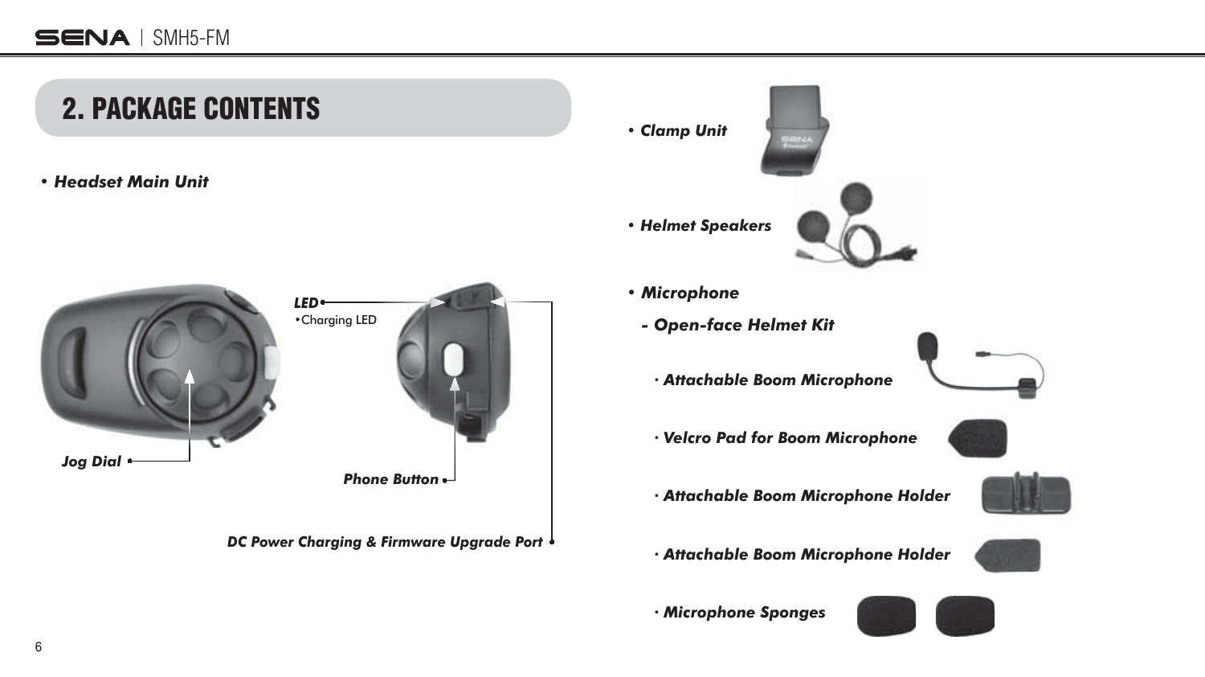<span id="page-5-0"></span>

*ă Microphone Sponges*

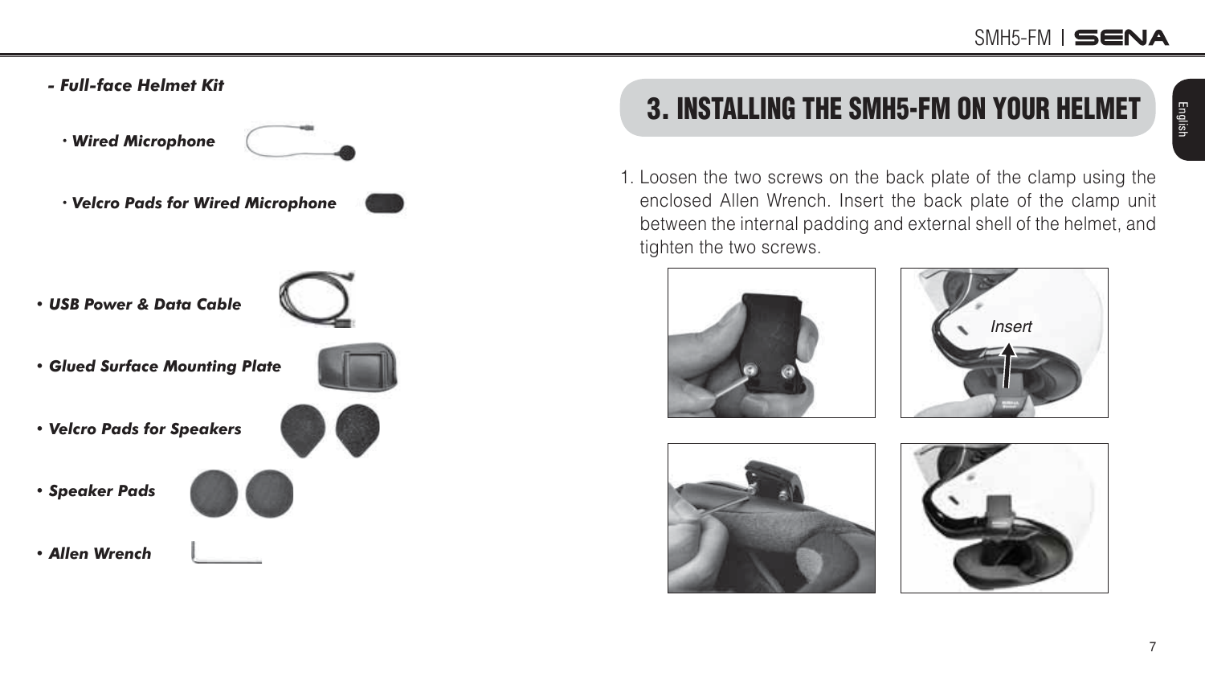<span id="page-6-0"></span>*- Full-face Helmet Kit*

*ă Wired Microphone* 

- *ă 9elcro Pads for Wired Microphone • USB Power & Data CaEle*
- *Glued Surface Mounting Plate*
- 
- *9elcro Pads for Speakers*
- *Speaker Pads*



*• \$llen Wrench*

# 3. INSTALLING THE SMH5-FM ON YOUR HELMET

1. Loosen the two screws on the back plate of the clamp using the enclosed Allen Wrench. Insert the back plate of the clamp unit between the internal padding and external shell of the helmet, and tighten the two screws.







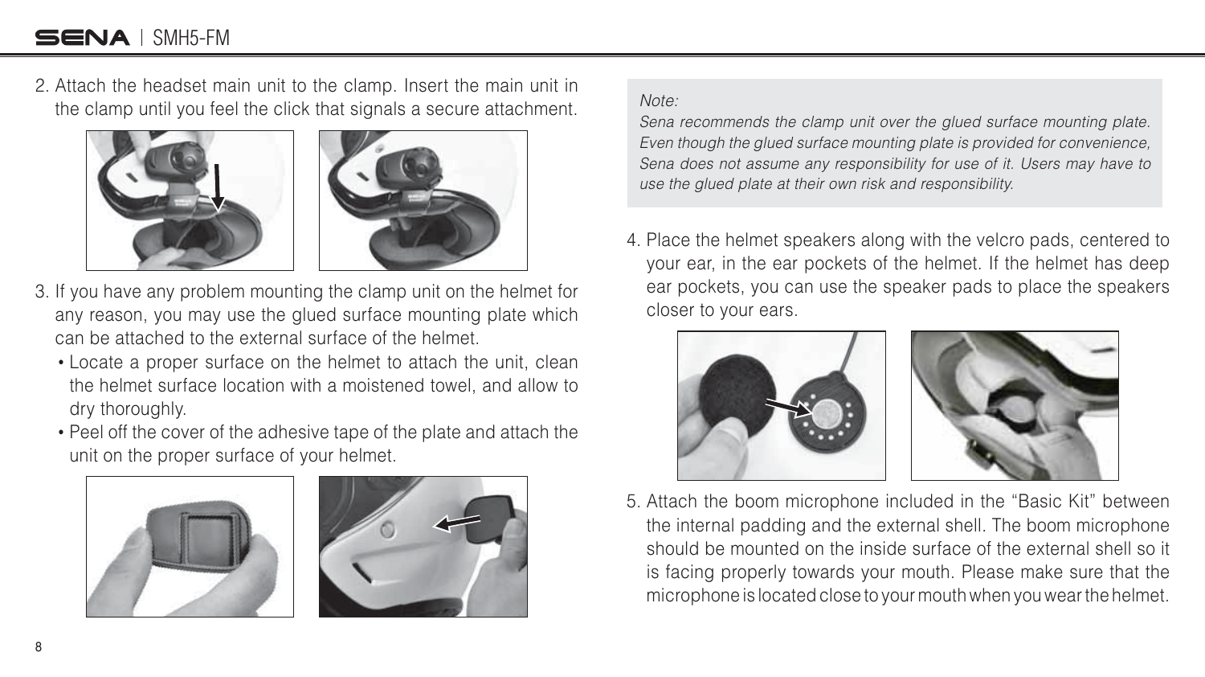### SENA I SMH5-FM

2. Attach the headset main unit to the clamp. Insert the main unit in the clamp until you feel the click that signals a secure attachment.





- 3. If you have any problem mounting the clamp unit on the helmet for any reason, you may use the glued surface mounting plate which can be attached to the external surface of the helmet.
	- Locate a proper surface on the helmet to attach the unit, clean the helmet surface location with a moistened towel, and allow to dry thoroughly.
	- Peel off the cover of the adhesive tape of the plate and attach the unit on the proper surface of your helmet.





#### Note:

Sena recommends the clamp unit over the glued surface mounting plate. Even though the glued surface mounting plate is provided for convenience, Sena does not assume any responsibility for use of it. Users may have to use the glued plate at their own risk and responsibility.

4. Place the helmet speakers along with the velcro pads, centered to your ear, in the ear pockets of the helmet. If the helmet has deep ear pockets, you can use the speaker pads to place the speakers closer to your ears.





5. Attach the boom microphone included in the "Basic Kit" between the internal padding and the external shell. The boom microphone should be mounted on the inside surface of the external shell so it is facing properly towards your mouth. Please make sure that the microphone is located close to your mouth when you wear the helmet.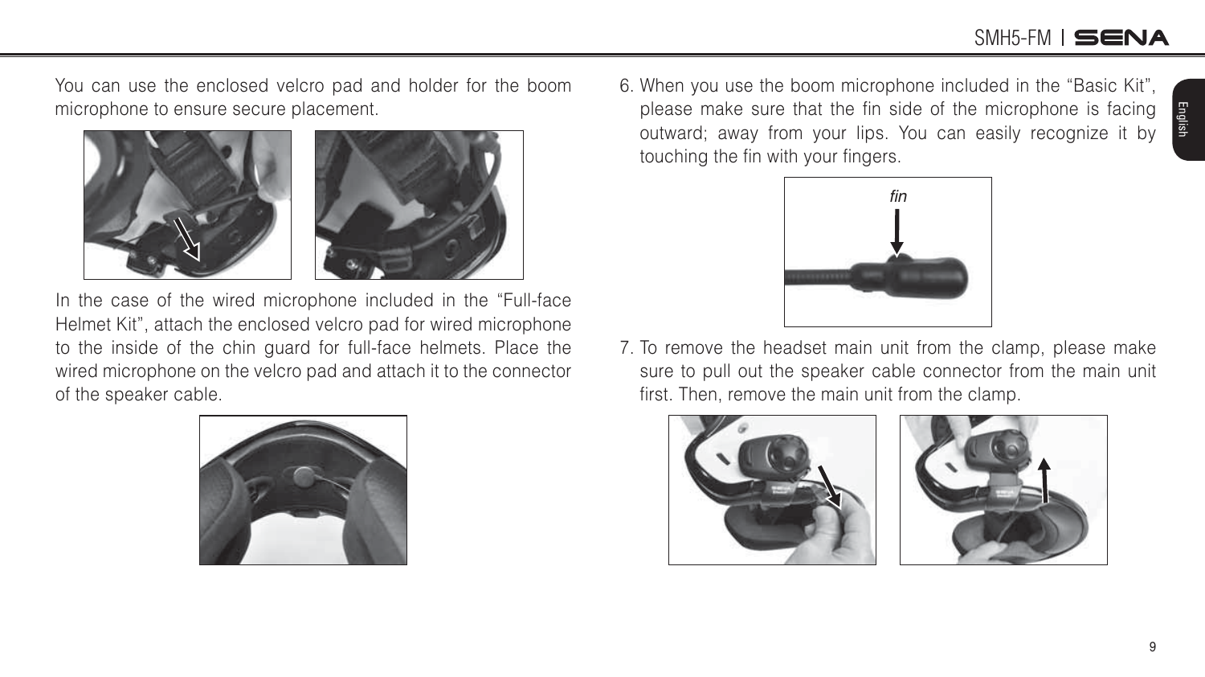### SMH5-FM I **SENA**

You can use the enclosed velcro pad and holder for the boom microphone to ensure secure placement.





7. To remove the headset main unit from the clamp, please make sure to pull out the speaker cable connector from the main unit first. Then, remove the main unit from the clamp.

6. When you use the boom microphone included in the "Basic Kit", please make sure that the fin side of the microphone is facing







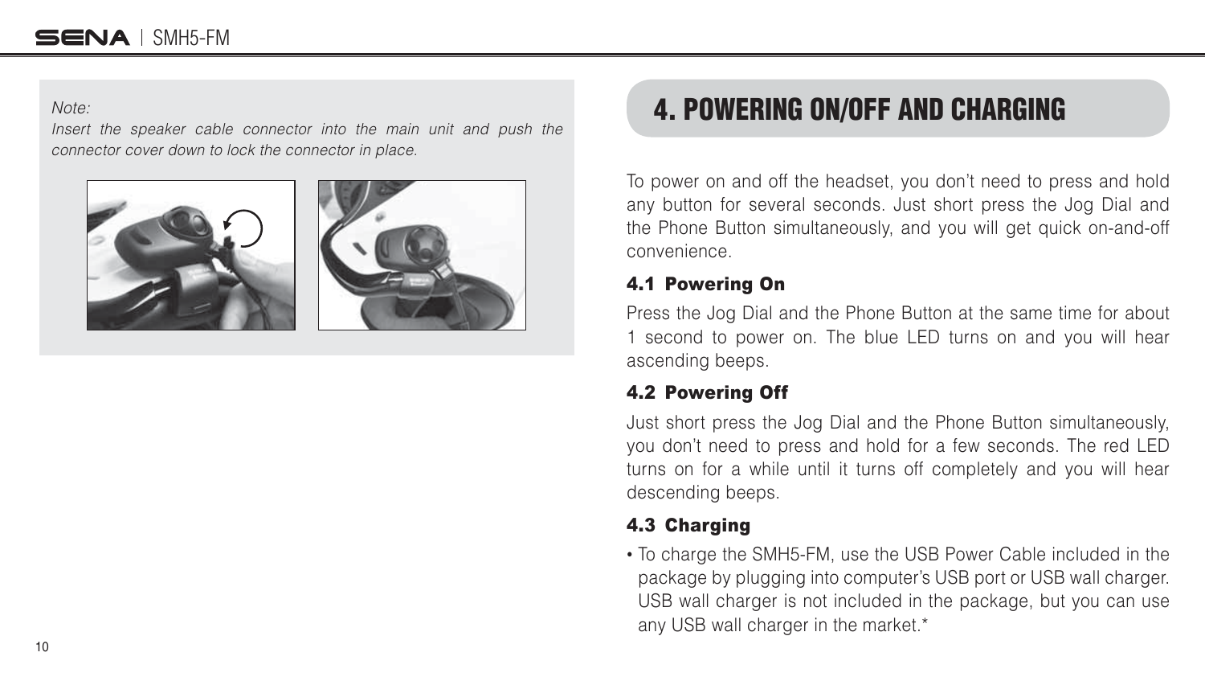#### <span id="page-9-0"></span>SENA I SMH5-FM

#### Note:

Insert the speaker cable connector into the main unit and push the connector cover down to lock the connector in place.



### 4. POWERING ON/OFF AND CHARGING

To power on and off the headset, you don't need to press and hold any button for several seconds. Just short press the Jog Dial and the Phone Button simultaneously, and you will get quick on-and-off convenience.

#### 4.1 Powering On

Press the Jog Dial and the Phone Button at the same time for about 1 second to power on. The blue LED turns on and you will hear ascending beeps.

#### 4.2 Powering Off

Just short press the Jog Dial and the Phone Button simultaneously, you don't need to press and hold for a few seconds. The red LED turns on for a while until it turns off completely and you will hear descending beeps.

#### 4.3 Charging

• To charge the SMH5-FM, use the USB Power Cable included in the package by plugging into computer's USB port or USB wall charger. USB wall charger is not included in the package, but you can use any USB wall charger in the market.\*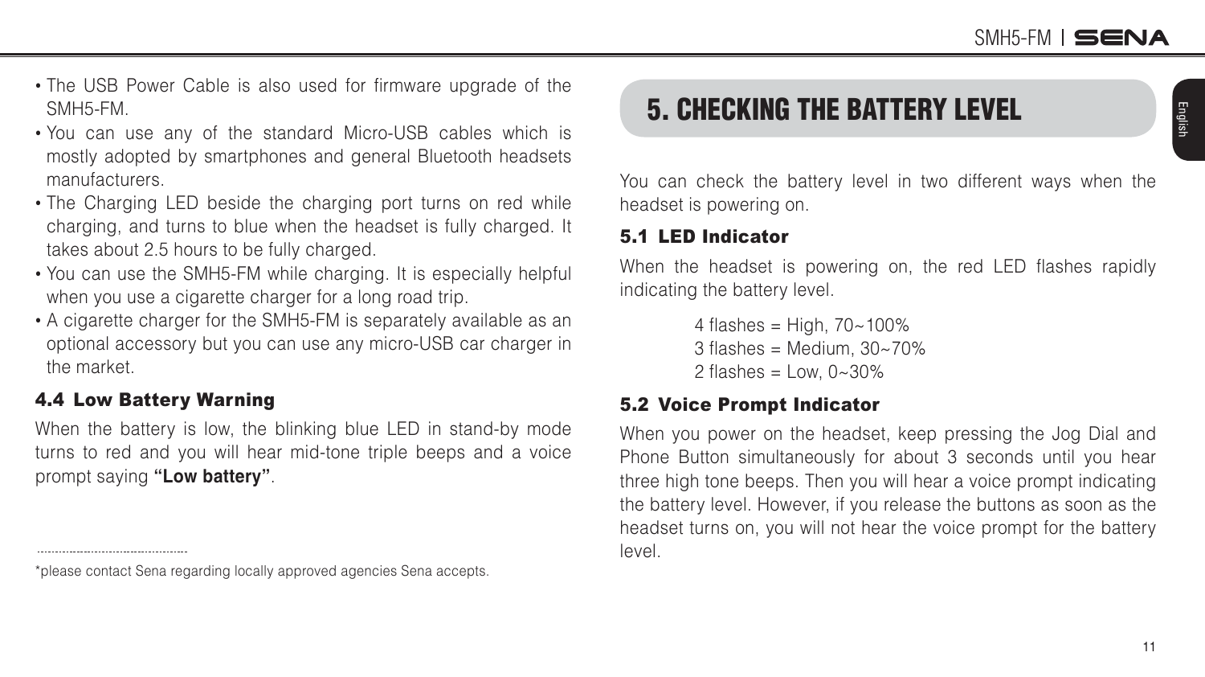- <span id="page-10-0"></span>• The USB Power Cable is also used for firmware upgrade of the SMH5-FM.
- You can use any of the standard Micro-USB cables which is mostly adopted by smartphones and general Bluetooth headsets manufacturers.
- The Charging LED beside the charging port turns on red while charging, and turns to blue when the headset is fully charged. It takes about 2.5 hours to be fully charged.
- You can use the SMH5-FM while charging. It is especially helpful when you use a cigarette charger for a long road trip.
- A cigarette charger for the SMH5-FM is separately available as an optional accessory but you can use any micro-USB car charger in the market.

#### 4.4 Low Battery Warning

.....................................

When the battery is low, the blinking blue LED in stand-by mode turns to red and you will hear mid-tone triple beeps and a voice prompt saying **"Low battery"**.

### 5. CHECKING THE BATTERY LEVEL

You can check the battery level in two different ways when the headset is powering on.

#### 5.1 LED Indicator

When the headset is powering on, the red LED flashes rapidly indicating the battery level.

> 4 flashes = High,  $70 - 100\%$  $3$  flashes = Medium,  $30~70\%$ 2 flashes  $=$  Low,  $0 \sim 30\%$

#### 5.2 Voice Prompt Indicator

When you power on the headset, keep pressing the Jog Dial and Phone Button simultaneously for about 3 seconds until you hear three high tone beeps. Then you will hear a voice prompt indicating the battery level. However, if you release the buttons as soon as the headset turns on, you will not hear the voice prompt for the battery level.

<sup>\*</sup>please contact Sena regarding locally approved agencies Sena accepts.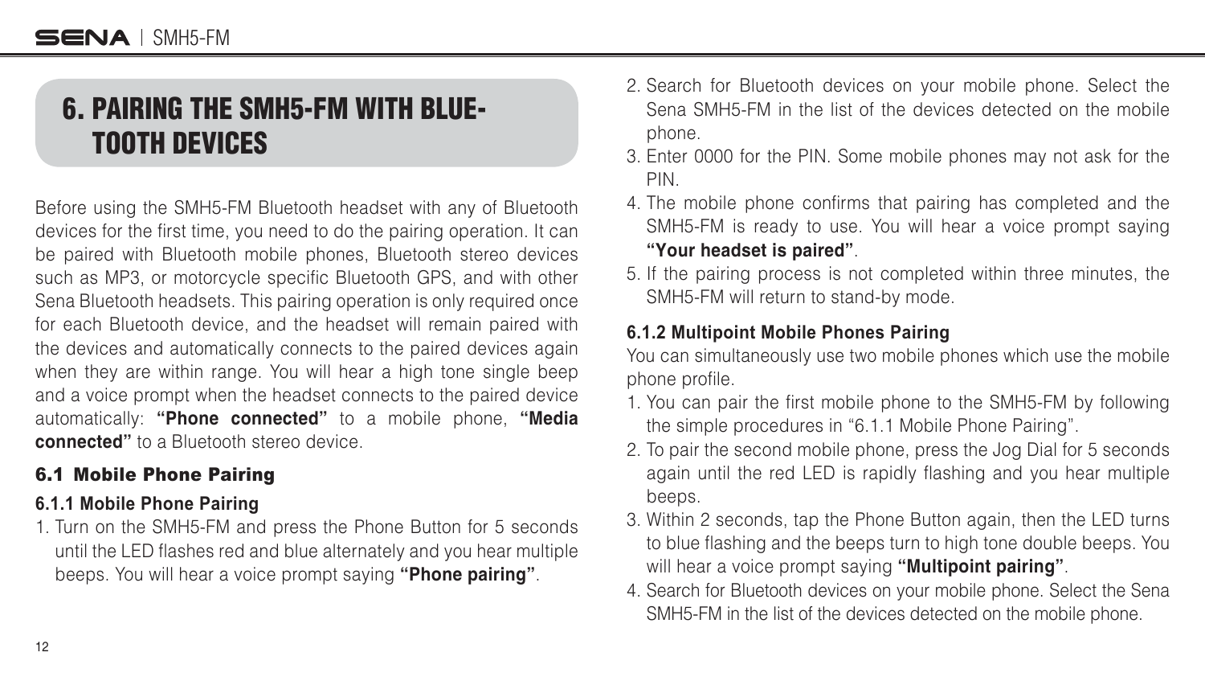### <span id="page-11-0"></span>6. PAIRING THE SMH5-FM WITH BLUE-TOOTH DEVICES

Before using the SMH5-FM Bluetooth headset with any of Bluetooth devices for the first time, you need to do the pairing operation. It can be paired with Bluetooth mobile phones, Bluetooth stereo devices such as MP3, or motorcycle specific Bluetooth GPS, and with other Sena Bluetooth headsets. This pairing operation is only required once for each Bluetooth device, and the headset will remain paired with the devices and automatically connects to the paired devices again when they are within range. You will hear a high tone single beep and a voice prompt when the headset connects to the paired device automatically: "Phone connected" to a mobile phone, "Media **connected"** to a Bluetooth stereo device.

#### 6.1 Mobile Phone Pairing

#### **6.1.1 Mobile Phone Pairing**

1. Turn on the SMH5-FM and press the Phone Button for 5 seconds until the LED flashes red and blue alternately and you hear multiple beeps. You will hear a voice prompt saying **"Phone pairing"**.

- 2. Search for Bluetooth devices on your mobile phone. Select the Sena SMH5-FM in the list of the devices detected on the mobile phone.
- 3. Enter 0000 for the PIN. Some mobile phones may not ask for the PIN.
- 4. The mobile phone confirms that pairing has completed and the SMH5-FM is ready to use. You will hear a voice prompt saying **"Your headset is paired"**.
- 5. If the pairing process is not completed within three minutes, the SMH5-FM will return to stand-by mode.

#### **6.1.2 Multipoint Mobile Phones Pairing**

You can simultaneously use two mobile phones which use the mobile phone profile.

- 1. You can pair the first mobile phone to the SMH5-FM by following the simple procedures in "6.1.1 Mobile Phone Pairing".
- 2. To pair the second mobile phone, press the Jog Dial for 5 seconds again until the red LED is rapidly flashing and you hear multiple beeps.
- 3. Within 2 seconds, tap the Phone Button again, then the LED turns to blue flashing and the beeps turn to high tone double beeps. You will hear a voice prompt saying **"Multipoint pairing"**.
- 4. Search for Bluetooth devices on your mobile phone. Select the Sena SMH5-FM in the list of the devices detected on the mobile phone.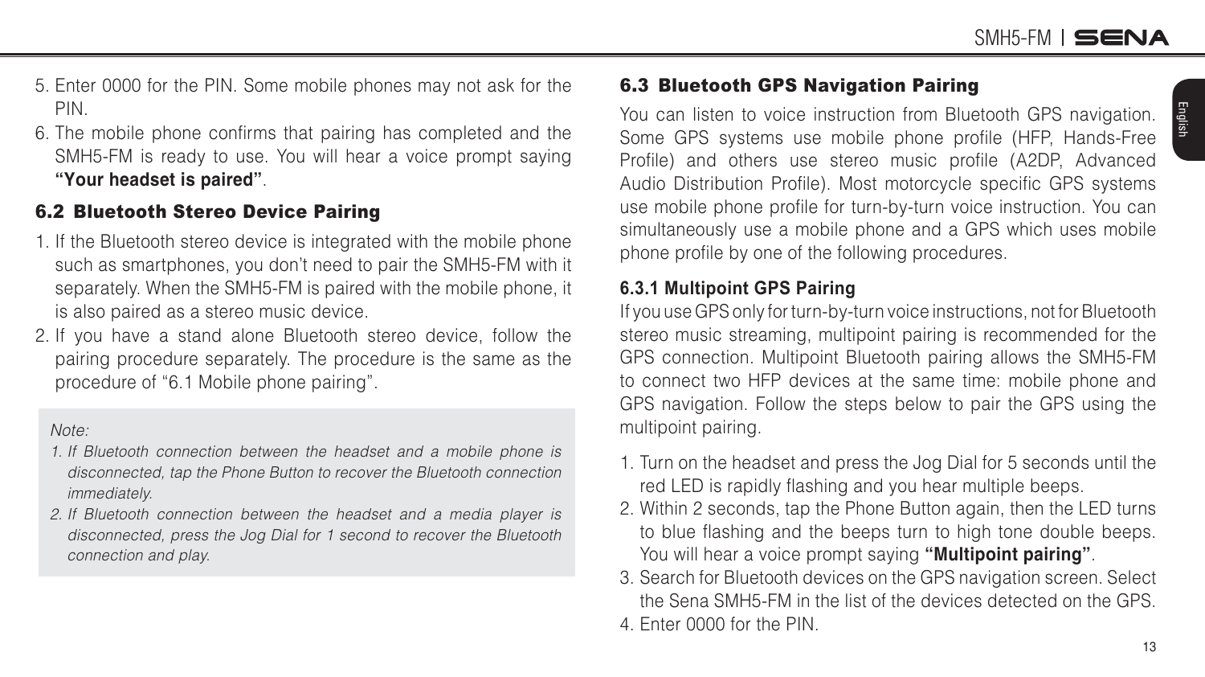- <span id="page-12-0"></span>5. Enter 0000 for the PIN. Some mobile phones may not ask for the PIN.
- 6. The mobile phone confirms that pairing has completed and the SMH5-FM is ready to use. You will hear a voice prompt saying **"Your headset is paired"**.

#### 6.2 Bluetooth Stereo Device Pairing

- 1. If the Bluetooth stereo device is integrated with the mobile phone such as smartphones, you don't need to pair the SMH5-FM with it separately. When the SMH5-FM is paired with the mobile phone, it is also paired as a stereo music device.
- 2. If you have a stand alone Bluetooth stereo device, follow the pairing procedure separately. The procedure is the same as the procedure of "6.1 Mobile phone pairing".

#### Note:

- 1. If Bluetooth connection between the headset and a mobile phone is disconnected, tap the Phone Button to recover the Bluetooth connection immediately.
- 2. If Bluetooth connection between the headset and a media player is disconnected, press the Jog Dial for 1 second to recover the Bluetooth connection and play.

#### 6.3 Bluetooth GPS Navigation Pairing

You can listen to voice instruction from Bluetooth GPS navigation. Some GPS systems use mobile phone profile (HFP, Hands-Free Profile) and others use stereo music profile (A2DP, Advanced Audio Distribution Profile). Most motorcycle specific GPS systems use mobile phone profile for turn-by-turn voice instruction. You can simultaneously use a mobile phone and a GPS which uses mobile phone profile by one of the following procedures.

#### **6.3.1 Multipoint GPS Pairing**

If you use GPS only for turn-by-turn voice instructions, not for Bluetooth stereo music streaming, multipoint pairing is recommended for the GPS connection. Multipoint Bluetooth pairing allows the SMH5-FM to connect two HFP devices at the same time: mobile phone and GPS navigation. Follow the steps below to pair the GPS using the multipoint pairing.

- 1. Turn on the headset and press the Jog Dial for 5 seconds until the red LED is rapidly flashing and you hear multiple beeps.
- 2. Within 2 seconds, tap the Phone Button again, then the LED turns to blue flashing and the beeps turn to high tone double beeps. You will hear a voice prompt saying **"Multipoint pairing"**.
- 3. Search for Bluetooth devices on the GPS navigation screen. Select the Sena SMH5-FM in the list of the devices detected on the GPS. 4. Enter 0000 for the PIN.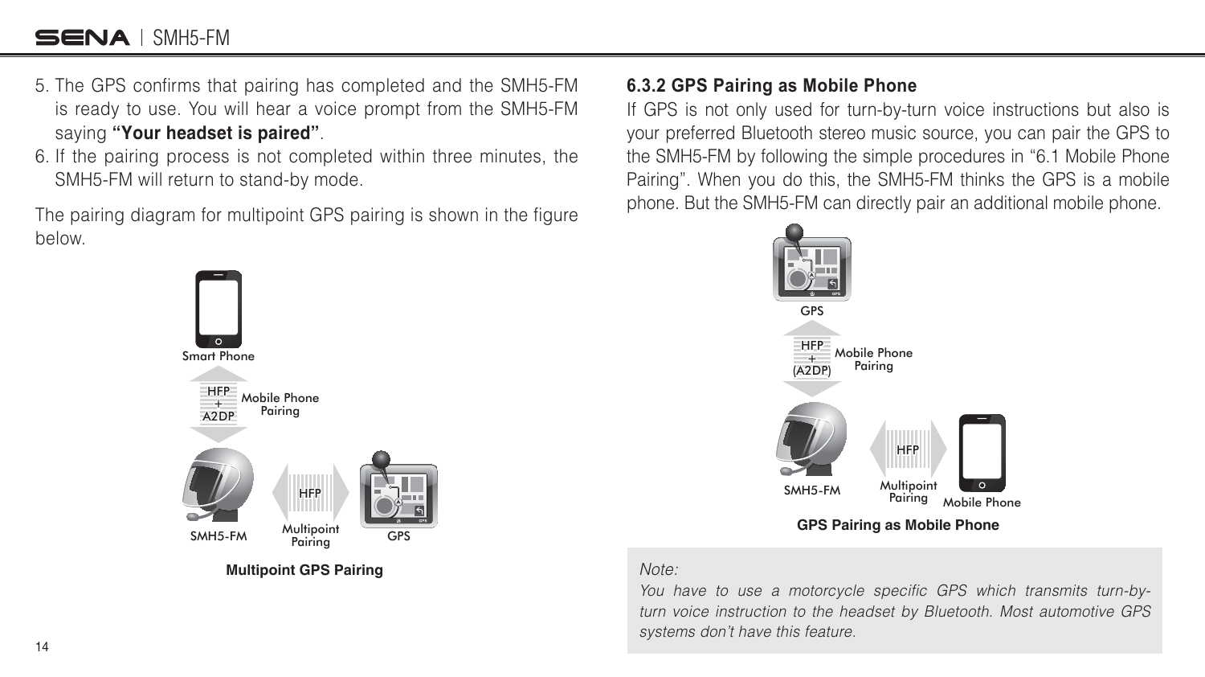#### SENA I SMH5-FM

- 5. The GPS confirms that pairing has completed and the SMH5-FM is ready to use. You will hear a voice prompt from the SMH5-FM saying **"Your headset is paired"**.
- 6. If the pairing process is not completed within three minutes, the SMH5-FM will return to stand-by mode.

The pairing diagram for multipoint GPS pairing is shown in the figure below.



**Multipoint GPS Pairing**

#### **6.3.2 GPS Pairing as Mobile Phone**

If GPS is not only used for turn-by-turn voice instructions but also is your preferred Bluetooth stereo music source, you can pair the GPS to the SMH5-FM by following the simple procedures in "6.1 Mobile Phone Pairing". When you do this, the SMH5-FM thinks the GPS is a mobile phone. But the SMH5-FM can directly pair an additional mobile phone.



**GPS Pairing as Mobile Phone**

#### Note:

You have to use a motorcycle specific GPS which transmits turn-byturn voice instruction to the headset by Bluetooth. Most automotive GPS systems don't have this feature.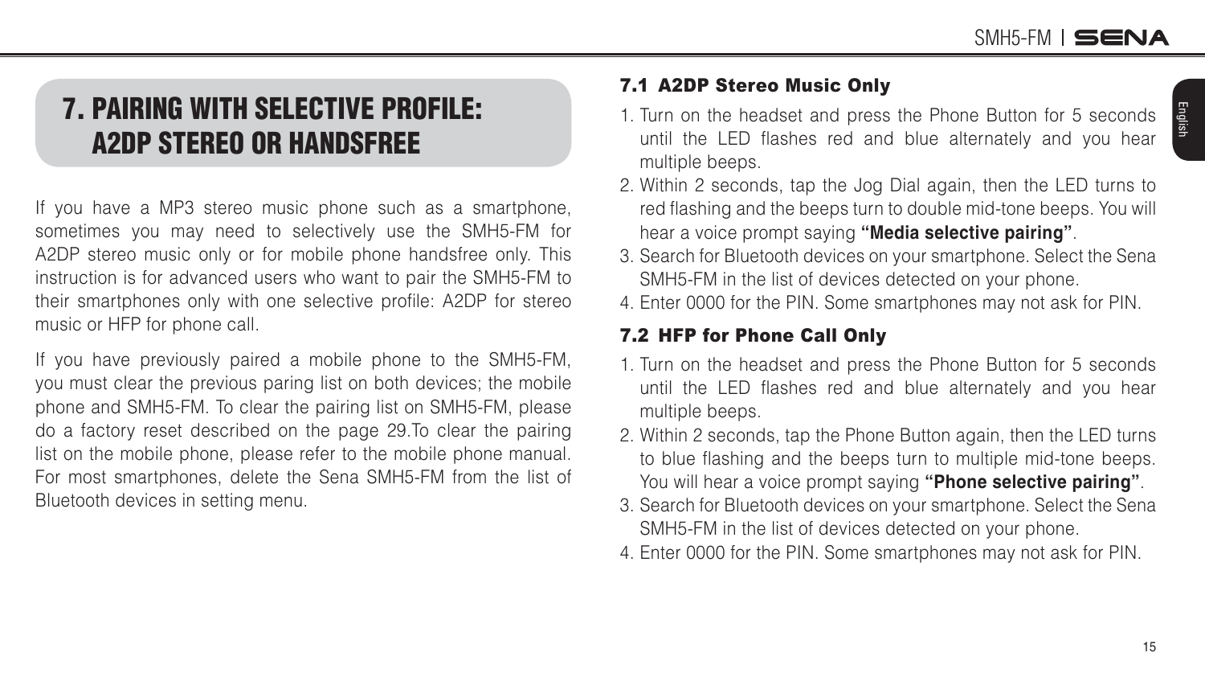English

### <span id="page-14-0"></span>7. PAIRING WITH SELECTIVE PROFILE: A2DP STEREO OR HANDSFREE

If you have a MP3 stereo music phone such as a smartphone, sometimes you may need to selectively use the SMH5-FM for A2DP stereo music only or for mobile phone handsfree only. This instruction is for advanced users who want to pair the SMH5-FM to their smartphones only with one selective profile: A2DP for stereo music or HFP for phone call.

If you have previously paired a mobile phone to the SMH5-FM, you must clear the previous paring list on both devices; the mobile phone and SMH5-FM. To clear the pairing list on SMH5-FM, please do a factory reset described on the [page 29](#page-28-1).To clear the pairing list on the mobile phone, please refer to the mobile phone manual. For most smartphones, delete the Sena SMH5-FM from the list of Bluetooth devices in setting menu.

#### 7.1 A2DP Stereo Music Only

- 1. Turn on the headset and press the Phone Button for 5 seconds until the LED flashes red and blue alternately and you hear multiple beeps.
- 2. Within 2 seconds, tap the Jog Dial again, then the LED turns to red flashing and the beeps turn to double mid-tone beeps. You will hear a voice prompt saying **"Media selective pairing"**.
- 3. Search for Bluetooth devices on your smartphone. Select the Sena SMH5-FM in the list of devices detected on your phone.
- 4. Enter 0000 for the PIN. Some smartphones may not ask for PIN.

#### 7.2 HFP for Phone Call Only

- 1. Turn on the headset and press the Phone Button for 5 seconds until the LED flashes red and blue alternately and you hear multiple beeps.
- 2. Within 2 seconds, tap the Phone Button again, then the LED turns to blue flashing and the beeps turn to multiple mid-tone beeps. You will hear a voice prompt saying **"Phone selective pairing"**.
- 3. Search for Bluetooth devices on your smartphone. Select the Sena SMH5-FM in the list of devices detected on your phone.
- 4. Enter 0000 for the PIN. Some smartphones may not ask for PIN.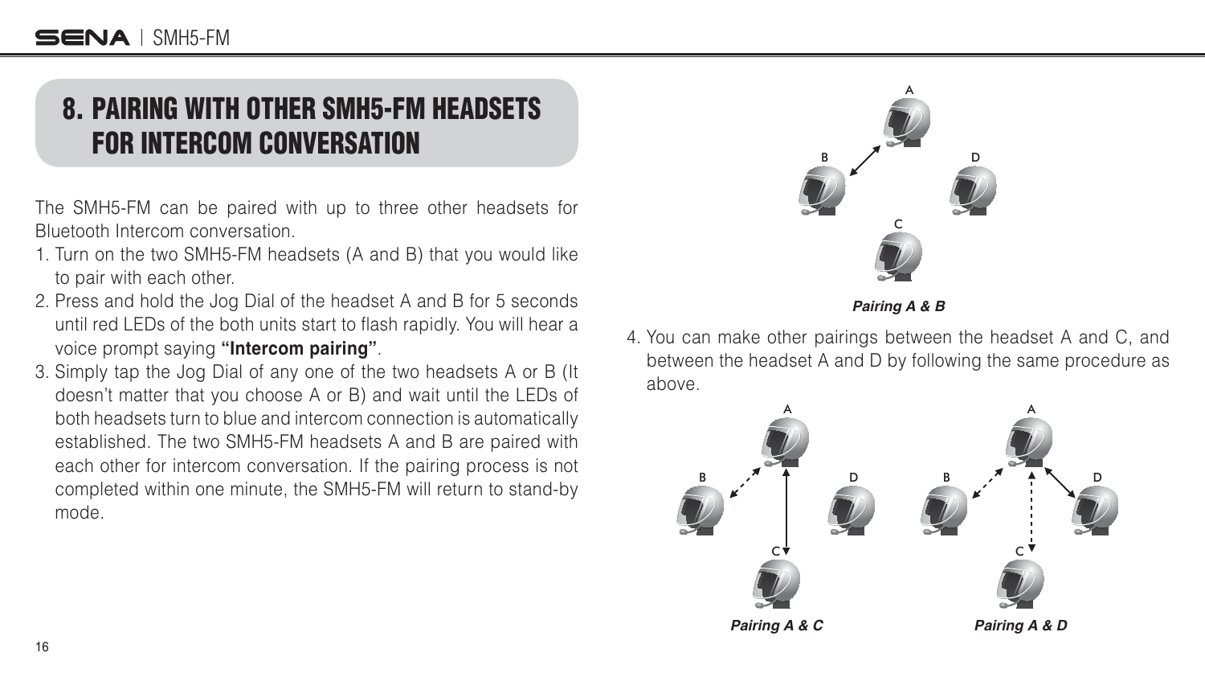### <span id="page-15-0"></span>8. PAIRING WITH OTHER SMH5-FM HEADSETS FOR INTERCOM CONVERSATION

The SMH5-FM can be paired with up to three other headsets for Bluetooth Intercom conversation.

- 1. Turn on the two SMH5-FM headsets (A and B) that you would like to pair with each other.
- 2. Press and hold the Jog Dial of the headset A and B for 5 seconds until red LEDs of the both units start to flash rapidly. You will hear a voice prompt saying **"Intercom pairing"**.
- 3. Simply tap the Jog Dial of any one of the two headsets A or B (It doesn't matter that you choose A or B) and wait until the LEDs of both headsets turn to blue and intercom connection is automatically established. The two SMH5-FM headsets A and B are paired with each other for intercom conversation. If the pairing process is not completed within one minute, the SMH5-FM will return to stand-by mode.



*Pairing A & B*

4. You can make other pairings between the headset A and C, and between the headset A and D by following the same procedure as above.

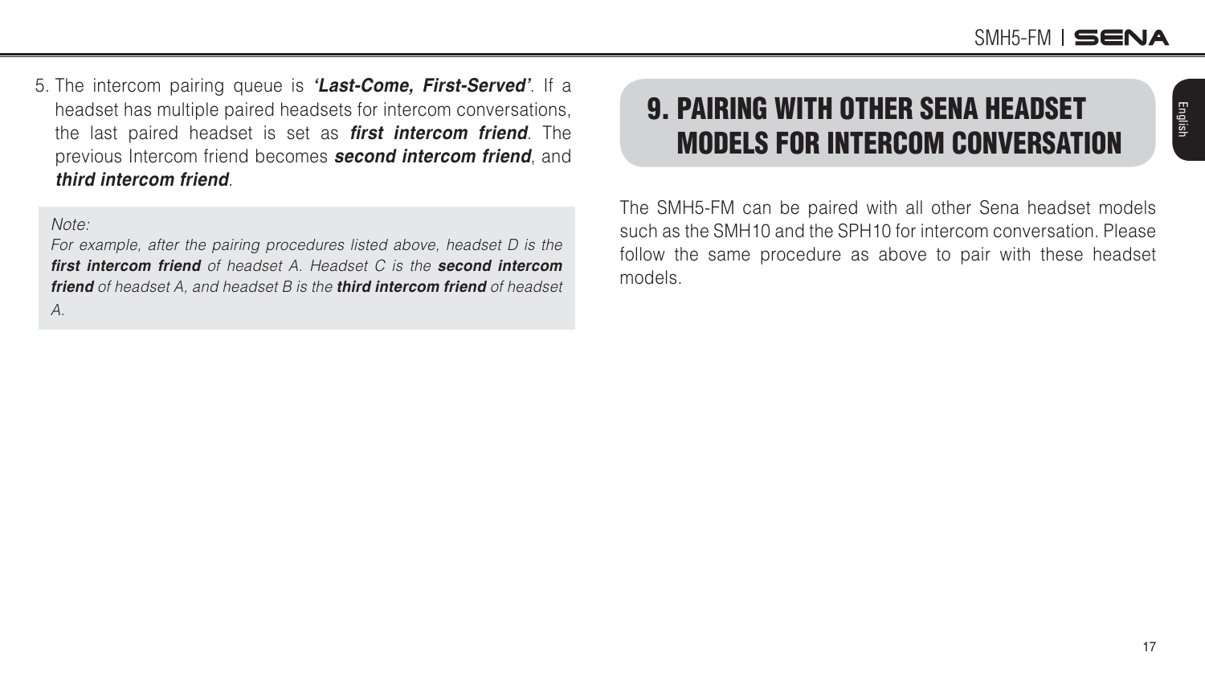SMH5-FM ISENA

<span id="page-16-0"></span>5. The intercom pairing queue is *'Last-Come, First-Served'*. If a headset has multiple paired headsets for intercom conversations, the last paired headset is set as *first intercom friend*. The previous Intercom friend becomes **second intercom friend**, and *third intercom friend.* 

#### Note:

For example, after the pairing procedures listed above, headset D is the *first intercom friend of headset A. Headset C is the second intercom friend* of headset A, and headset B is the *third intercom friend* of headset A.

### 9. PAIRING WITH OTHER SENA HEADSET MODELS FOR INTERCOM CONVERSATION

The SMH5-FM can be paired with all other Sena headset models such as the SMH10 and the SPH10 for intercom conversation. Please follow the same procedure as above to pair with these headset models.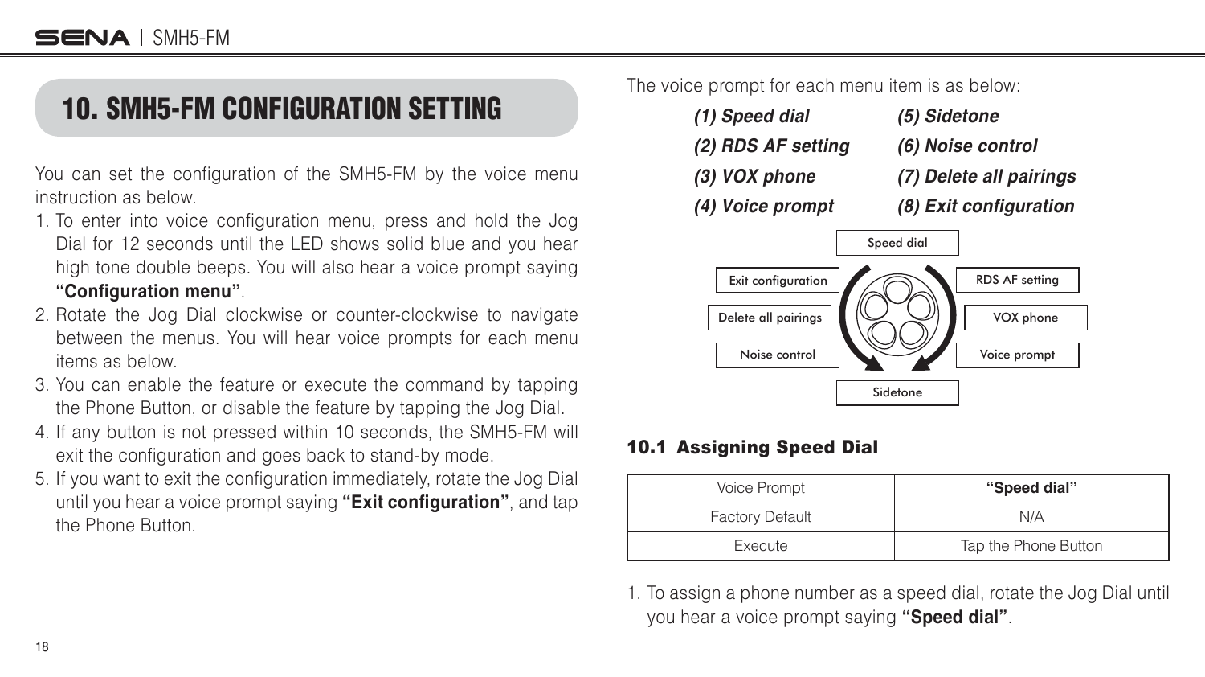### <span id="page-17-0"></span>10. SMH5-FM CONFIGURATION SETTING

You can set the configuration of the SMH5-FM by the voice menu instruction as below.

- 1. To enter into voice configuration menu, press and hold the Jog Dial for 12 seconds until the LED shows solid blue and you hear high tone double beeps. You will also hear a voice prompt saying **"%onſguration menu"**.
- 2. Rotate the Jog Dial clockwise or counter-clockwise to navigate between the menus. You will hear voice prompts for each menu items as below.
- 3. You can enable the feature or execute the command by tapping the Phone Button, or disable the feature by tapping the Jog Dial.
- 4. If any button is not pressed within 10 seconds, the SMH5-FM will exit the configuration and goes back to stand-by mode.
- 5. If you want to exit the configuration immediately, rotate the Jog Dial until you hear a voice prompt saying "**Exit configuration**", and tap the Phone Button.

The voice prompt for each menu item is as below:



#### 10.1 Assigning Speed Dial

| <b>Voice Prompt</b>    | "Speed dial"         |
|------------------------|----------------------|
| <b>Factory Default</b> | N/A                  |
| Execute                | Tap the Phone Button |

1. To assign a phone number as a speed dial, rotate the Jog Dial until you hear a voice prompt saying **"Speed dial"**.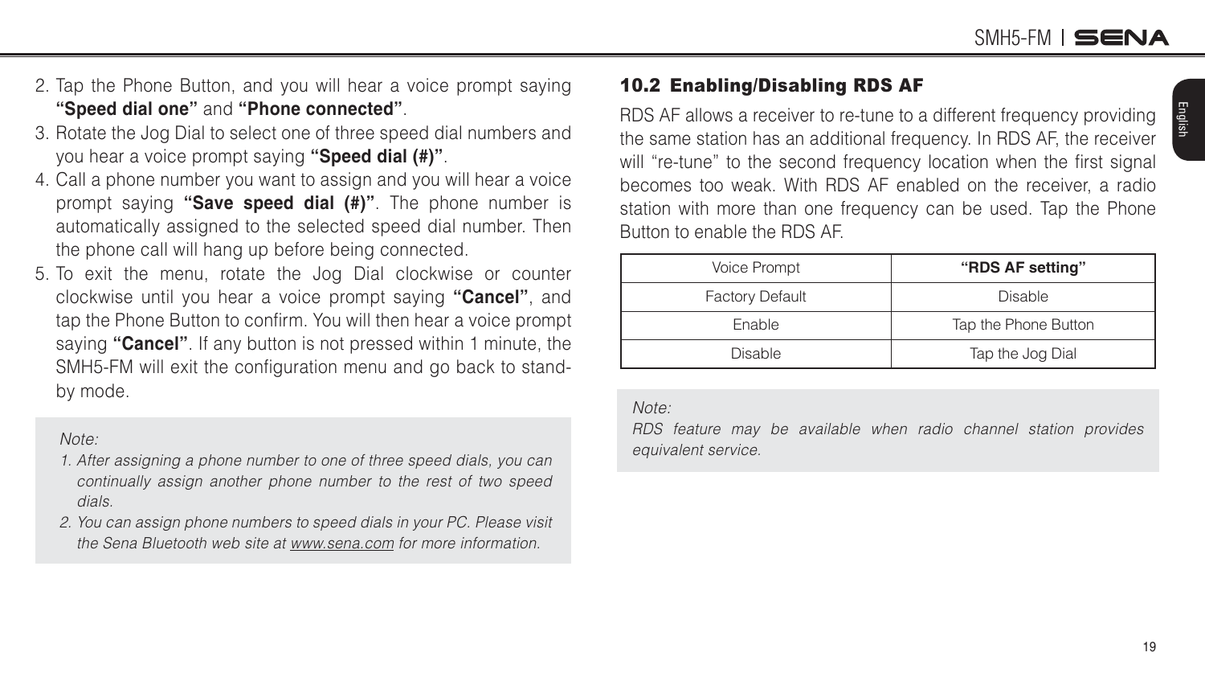English

- <span id="page-18-0"></span>2. Tap the Phone Button, and you will hear a voice prompt saying **"Speed dial one"** and **"Phone connected"**.
- 3. Rotate the Jog Dial to select one of three speed dial numbers and you hear a voice prompt saying **"Speed dial (#)"**.
- 4. Call a phone number you want to assign and you will hear a voice prompt saying **"Save speed dial (#)"**. The phone number is automatically assigned to the selected speed dial number. Then the phone call will hang up before being connected.
- 5. To exit the menu, rotate the Jog Dial clockwise or counter clockwise until you hear a voice prompt saying **"Cancel"**, and tap the Phone Button to confirm. You will then hear a voice prompt saying **"Cancel"**. If any button is not pressed within 1 minute, the SMH5-FM will exit the configuration menu and go back to standby mode.

#### Note:

- 1. After assigning a phone number to one of three speed dials, you can continually assign another phone number to the rest of two speed dials.
- 2. You can assign phone numbers to speed dials in your PC. Please visit the Sena Bluetooth web site at <www.sena.com>for more information.

#### 10.2 Enabling/Disabling RDS AF

RDS AF allows a receiver to re-tune to a different frequency providing the same station has an additional frequency. In RDS AF, the receiver will "re-tune" to the second frequency location when the first signal becomes too weak. With RDS AF enabled on the receiver, a radio station with more than one frequency can be used. Tap the Phone Button to enable the RDS AF.

| Voice Prompt           | "RDS AF setting"     |
|------------------------|----------------------|
| <b>Factory Default</b> | <b>Disable</b>       |
| Enable                 | Tap the Phone Button |
| <b>Disable</b>         | Tap the Jog Dial     |

#### Note:

RDS feature may be available when radio channel station provides equivalent service.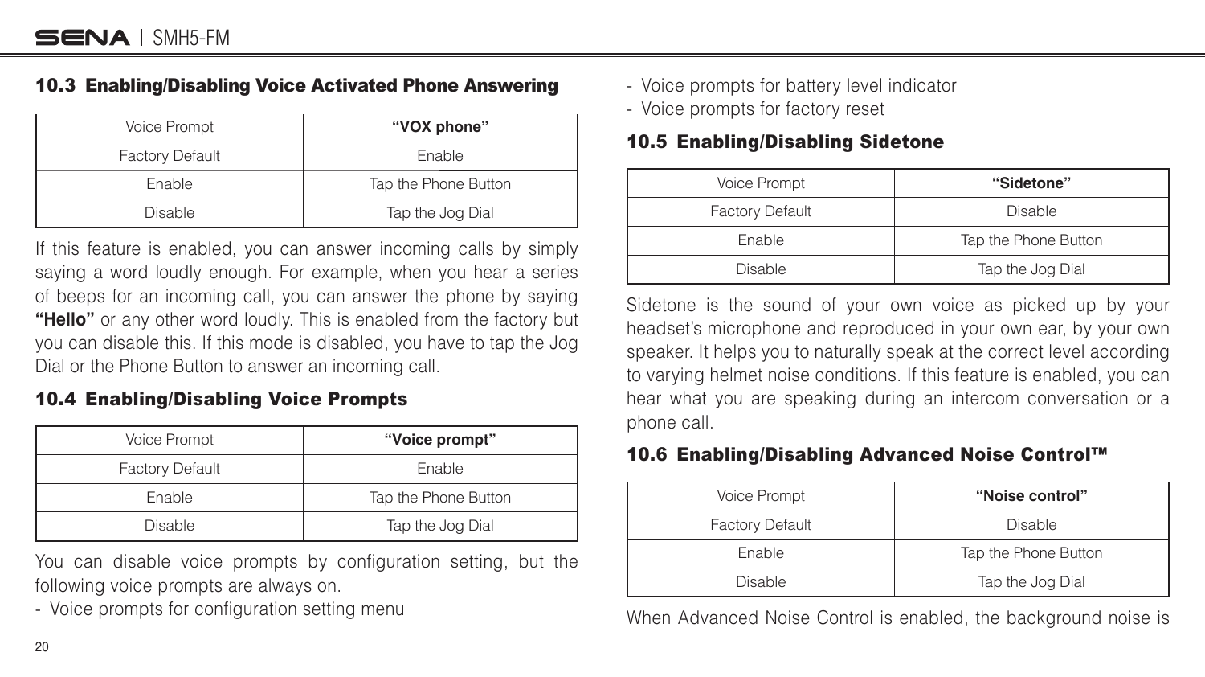#### <span id="page-19-0"></span>10.3 Enabling/Disabling Voice Activated Phone Answering

| <b>Voice Prompt</b>    | "VOX phone"          |
|------------------------|----------------------|
| <b>Factory Default</b> | Enable               |
| Enable                 | Tap the Phone Button |
| <b>Disable</b>         | Tap the Jog Dial     |

If this feature is enabled, you can answer incoming calls by simply saying a word loudly enough. For example, when you hear a series of beeps for an incoming call, you can answer the phone by saying **"Hello"** or any other word loudly. This is enabled from the factory but you can disable this. If this mode is disabled, you have to tap the Jog Dial or the Phone Button to answer an incoming call.

#### 10.4 Enabling/Disabling Voice Prompts

| Voice Prompt           | "Voice prompt"       |
|------------------------|----------------------|
| <b>Factory Default</b> | Enable               |
| Enable                 | Tap the Phone Button |
| <b>Disable</b>         | Tap the Jog Dial     |

You can disable voice prompts by configuration setting, but the following voice prompts are always on.

- Voice prompts for configuration setting menu

- Voice prompts for battery level indicator
- Voice prompts for factory reset

#### 10.5 Enabling/Disabling Sidetone

| Voice Prompt           | "Sidetone"           |
|------------------------|----------------------|
| <b>Factory Default</b> | <b>Disable</b>       |
| Enable                 | Tap the Phone Button |
| <b>Disable</b>         | Tap the Jog Dial     |

Sidetone is the sound of your own voice as picked up by your headset's microphone and reproduced in your own ear, by your own speaker. It helps you to naturally speak at the correct level according to varying helmet noise conditions. If this feature is enabled, you can hear what you are speaking during an intercom conversation or a phone call.

#### 10.6 Enabling/Disabling Advanced Noise Control™

| Voice Prompt           | "Noise control"      |
|------------------------|----------------------|
| <b>Factory Default</b> | <b>Disable</b>       |
| Enable                 | Tap the Phone Button |
| <b>Disable</b>         | Tap the Jog Dial     |

When Advanced Noise Control is enabled, the background noise is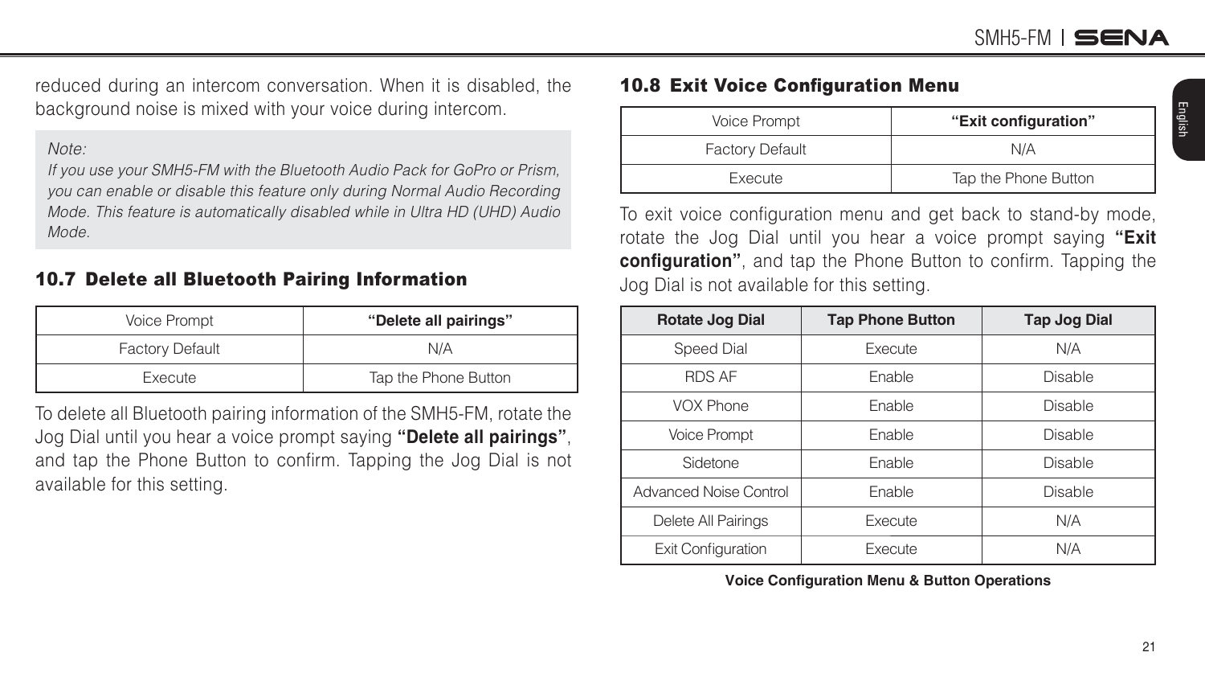<span id="page-20-0"></span>reduced during an intercom conversation. When it is disabled, the background noise is mixed with your voice during intercom.

#### Note:

If you use your SMH5-FM with the Bluetooth Audio Pack for GoPro or Prism, you can enable or disable this feature only during Normal Audio Recording Mode. This feature is automatically disabled while in Ultra HD (UHD) Audio Mode.

#### 10.7 Delete all Bluetooth Pairing Information

| Voice Prompt           | "Delete all pairings" |
|------------------------|-----------------------|
| <b>Factory Default</b> | N/A                   |
| Execute                | Tap the Phone Button  |

To delete all Bluetooth pairing information of the SMH5-FM, rotate the Jog Dial until you hear a voice prompt saying **"Delete all pairings"**, and tap the Phone Button to confirm. Tapping the Jog Dial is not available for this setting.

#### 10.8 Exit Voice Configuration Menu

| Voice Prompt           | "Exit configuration" |  |
|------------------------|----------------------|--|
| <b>Factory Default</b> | N/A                  |  |
| Execute                | Tap the Phone Button |  |

To exit voice configuration menu and get back to stand-by mode, rotate the Jog Dial until you hear a voice prompt saying **"Exit configuration**", and tap the Phone Button to confirm. Tapping the Jog Dial is not available for this setting.

| Rotate Jog Dial           | <b>Tap Phone Button</b> | <b>Tap Jog Dial</b> |
|---------------------------|-------------------------|---------------------|
| Speed Dial                | Execute                 | N/A                 |
| <b>RDS AF</b>             | Enable                  | Disable             |
| VOX Phone                 | Enable                  | Disable             |
| <b>Voice Prompt</b>       | Enable                  | <b>Disable</b>      |
| Sidetone                  | Enable                  | Disable             |
| Advanced Noise Control    | Enable                  | Disable             |
| Delete All Pairings       | Execute                 | N/A                 |
| <b>Exit Configuration</b> | Execute                 | N/A                 |

**Voice Conſguration Menu Button Operations**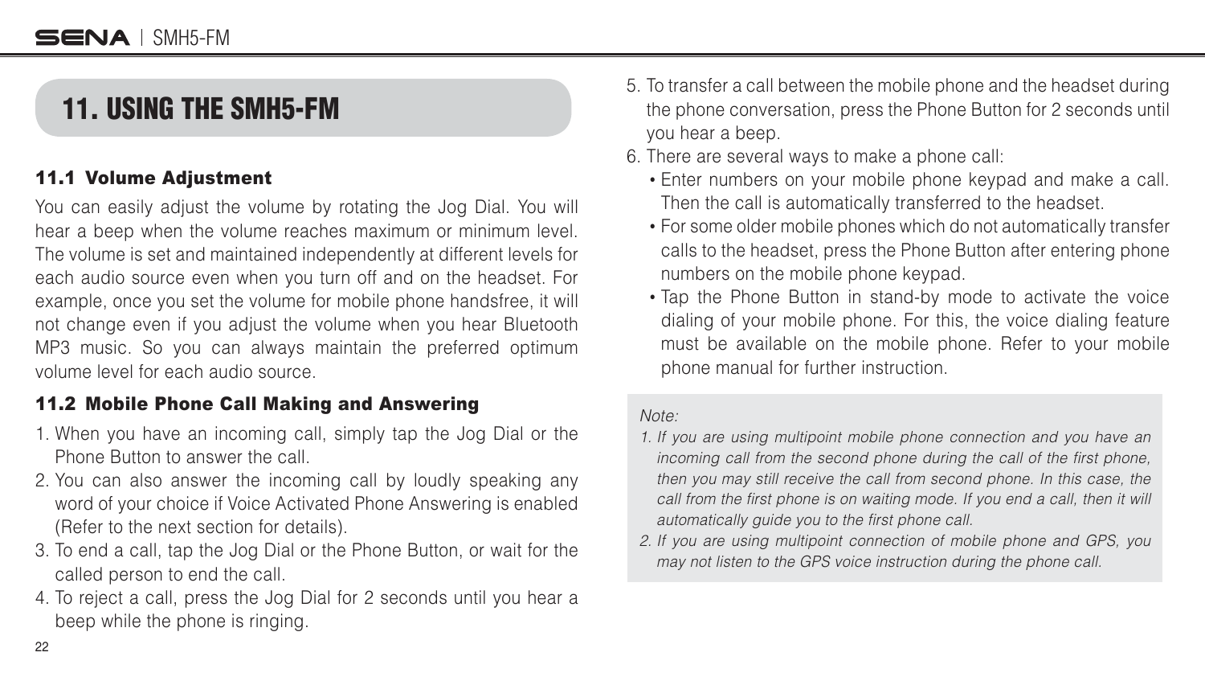### <span id="page-21-0"></span>11. USING THE SMH5-FM

#### 11.1 Volume Adjustment

You can easily adjust the volume by rotating the Jog Dial. You will hear a beep when the volume reaches maximum or minimum level. The volume is set and maintained independently at different levels for each audio source even when you turn off and on the headset. For example, once you set the volume for mobile phone handsfree, it will not change even if you adjust the volume when you hear Bluetooth MP3 music. So you can always maintain the preferred optimum volume level for each audio source.

#### 11.2 Mobile Phone Call Making and Answering

- 1. When you have an incoming call, simply tap the Jog Dial or the Phone Button to answer the call.
- 2. You can also answer the incoming call by loudly speaking any word of your choice if Voice Activated Phone Answering is enabled (Refer to the next section for details).
- 3. To end a call, tap the Jog Dial or the Phone Button, or wait for the called person to end the call.
- 4. To reject a call, press the Jog Dial for 2 seconds until you hear a beep while the phone is ringing.
- 5. To transfer a call between the mobile phone and the headset during the phone conversation, press the Phone Button for 2 seconds until you hear a beep.
- 6. There are several ways to make a phone call
	- Enter numbers on your mobile phone keypad and make a call. Then the call is automatically transferred to the headset.
	- For some older mobile phones which do not automatically transfer calls to the headset, press the Phone Button after entering phone numbers on the mobile phone keypad.
	- Tap the Phone Button in stand-by mode to activate the voice dialing of your mobile phone. For this, the voice dialing feature must be available on the mobile phone. Refer to your mobile phone manual for further instruction.

#### Note:

- 1. If you are using multipoint mobile phone connection and you have an incoming call from the second phone during the call of the first phone, then you may still receive the call from second phone. In this case, the call from the first phone is on waiting mode. If you end a call, then it will automatically guide you to the first phone call.
- 2. If you are using multipoint connection of mobile phone and GPS, you may not listen to the GPS voice instruction during the phone call.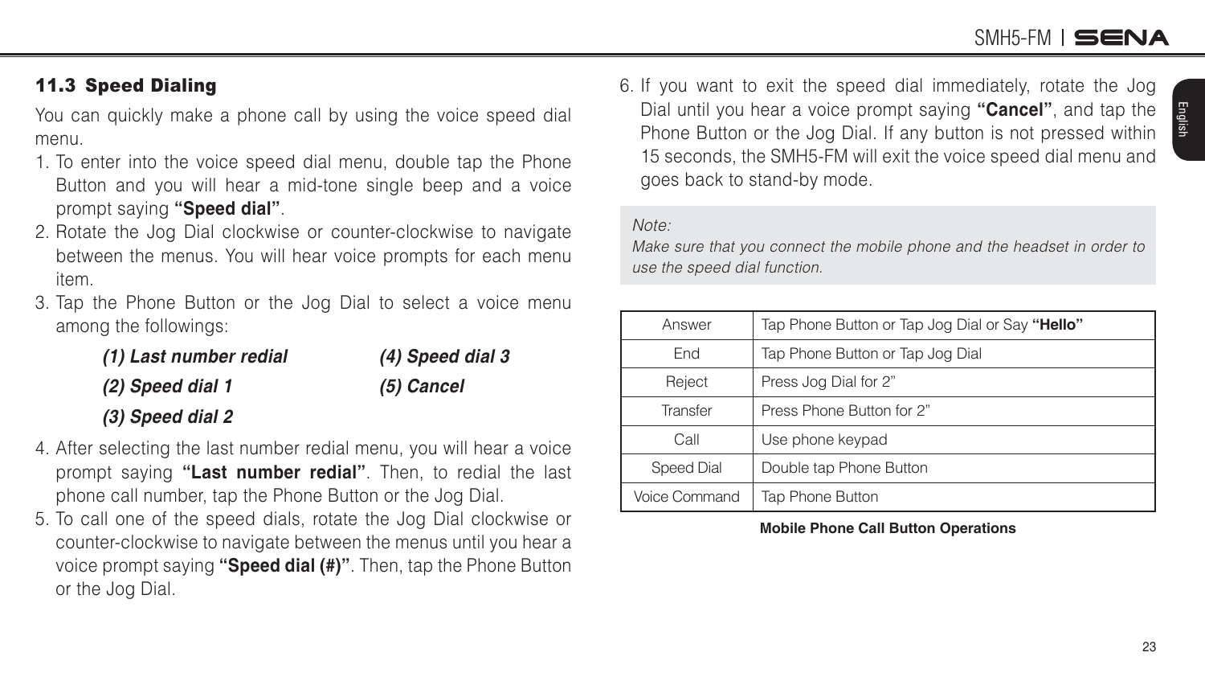English

#### <span id="page-22-0"></span>11.3 Speed Dialing

You can quickly make a phone call by using the voice speed dial menu.

- 1. To enter into the voice speed dial menu, double tap the Phone Button and you will hear a mid-tone single beep and a voice prompt saying **"Speed dial"**.
- 2. Rotate the Jog Dial clockwise or counter-clockwise to navigate between the menus. You will hear voice prompts for each menu item.
- 3. Tap the Phone Button or the Jog Dial to select a voice menu among the followings

| (1) Last number redial | (4) Speed dial 3 |
|------------------------|------------------|
| (2) Speed dial 1       | (5) Cancel       |
| (3) Speed dial 2       |                  |

- 4. After selecting the last number redial menu, you will hear a voice prompt saying **"Last number redial"**. Then, to redial the last phone call number, tap the Phone Button or the Jog Dial.
- 5. To call one of the speed dials, rotate the Jog Dial clockwise or counter-clockwise to navigate between the menus until you hear a voice prompt saying **"Speed dial (#)"**. Then, tap the Phone Button or the Jog Dial.

6. If you want to exit the speed dial immediately, rotate the Jog Dial until you hear a voice prompt saying **"Cancel"**, and tap the Phone Button or the Jog Dial. If any button is not pressed within 15 seconds, the SMH5-FM will exit the voice speed dial menu and goes back to stand-by mode.

#### Note:

Make sure that you connect the mobile phone and the headset in order to use the speed dial function.

| Answer        | Tap Phone Button or Tap Jog Dial or Say "Hello" |
|---------------|-------------------------------------------------|
| End           | Tap Phone Button or Tap Jog Dial                |
| Reject        | Press Jog Dial for 2"                           |
| Transfer      | Press Phone Button for 2"                       |
| Call          | Use phone keypad                                |
| Speed Dial    | Double tap Phone Button                         |
| Voice Command | Tap Phone Button                                |

**Mobile Phone Call Button Operations**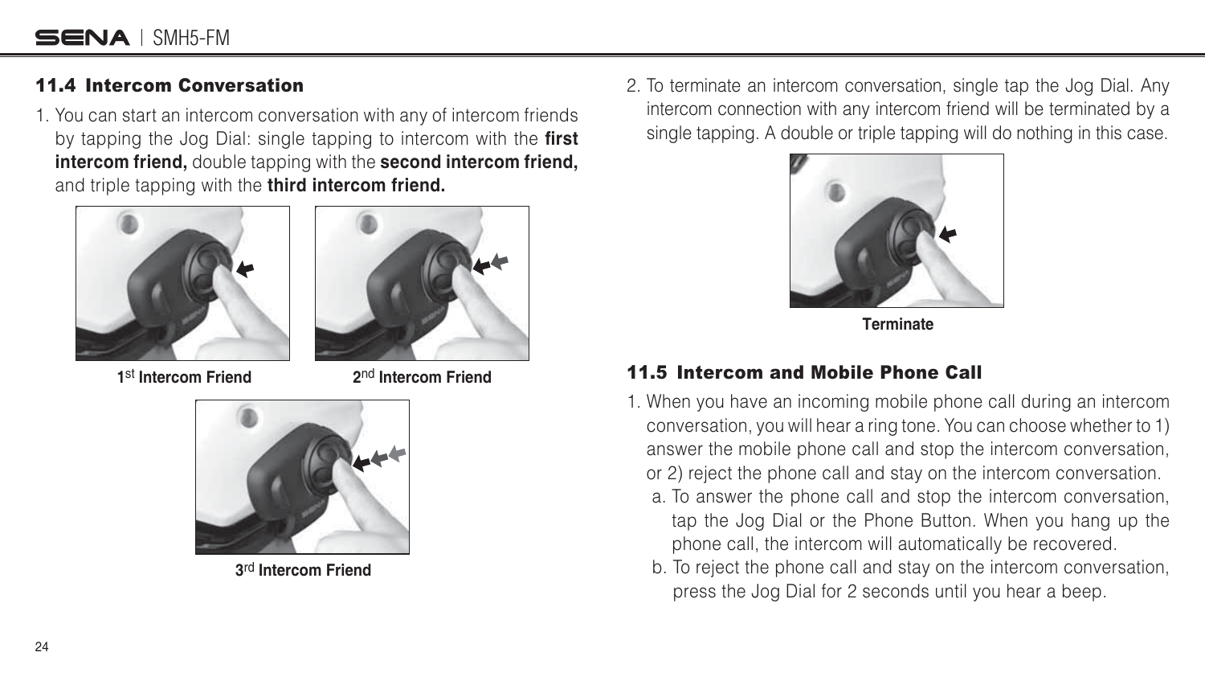#### <span id="page-23-0"></span>11.4 Intercom Conversation

1. You can start an intercom conversation with any of intercom friends by tapping the Jog Dial: single tapping to intercom with the **first intercom friend,** double tapping with the **second intercom friend,** and triple tapping with the **third intercom friend.**





**1**st **Intercom Friend 2**nd **Intercom Friend**



**3**rd **Intercom Friend**

2. To terminate an intercom conversation, single tap the Jog Dial. Any intercom connection with any intercom friend will be terminated by a single tapping. A double or triple tapping will do nothing in this case.



**Terminate**

#### 11.5 Intercom and Mobile Phone Call

- 1. When you have an incoming mobile phone call during an intercom conversation, you will hear a ring tone. You can choose whether to 1) answer the mobile phone call and stop the intercom conversation, or 2) reject the phone call and stay on the intercom conversation.
	- a. To answer the phone call and stop the intercom conversation, tap the Jog Dial or the Phone Button. When you hang up the phone call, the intercom will automatically be recovered.
	- b. To reject the phone call and stay on the intercom conversation, press the Jog Dial for 2 seconds until you hear a beep.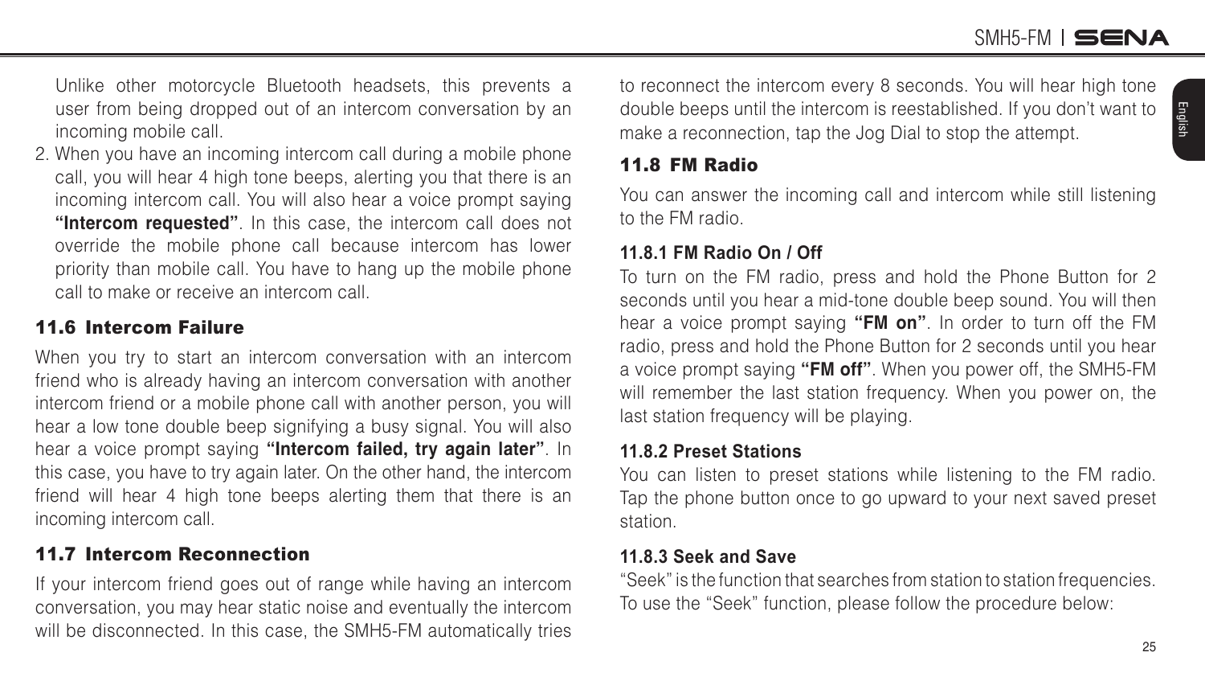English

<span id="page-24-0"></span> Unlike other motorcycle Bluetooth headsets, this prevents a user from being dropped out of an intercom conversation by an incoming mobile call.

2. When you have an incoming intercom call during a mobile phone call, you will hear 4 high tone beeps, alerting you that there is an incoming intercom call. You will also hear a voice prompt saying **"Intercom requested"**. In this case, the intercom call does not override the mobile phone call because intercom has lower priority than mobile call. You have to hang up the mobile phone call to make or receive an intercom call.

#### 11.6 Intercom Failure

When you try to start an intercom conversation with an intercom friend who is already having an intercom conversation with another intercom friend or a mobile phone call with another person, you will hear a low tone double beep signifying a busy signal. You will also hear a voice prompt saying **"Intercom failed, try again later"**. In this case, you have to try again later. On the other hand, the intercom friend will hear 4 high tone beeps alerting them that there is an incoming intercom call.

#### 11.7 Intercom Reconnection

If your intercom friend goes out of range while having an intercom conversation, you may hear static noise and eventually the intercom will be disconnected. In this case, the SMH5-FM automatically tries to reconnect the intercom every 8 seconds. You will hear high tone double beeps until the intercom is reestablished. If you don't want to make a reconnection, tap the Jog Dial to stop the attempt.

#### 11.8 FM Radio

You can answer the incoming call and intercom while still listening to the FM radio.

#### **11.8.1 FM Radio On / Off**

To turn on the FM radio, press and hold the Phone Button for 2 seconds until you hear a mid-tone double beep sound. You will then hear a voice prompt saying **"FM on"**. In order to turn off the FM radio, press and hold the Phone Button for 2 seconds until you hear a voice prompt saying **"FM off"**. When you power off, the SMH5-FM will remember the last station frequency. When you power on, the last station frequency will be playing.

#### **11.8.2 Preset Stations**

You can listen to preset stations while listening to the FM radio. Tap the phone button once to go upward to your next saved preset station.

#### **11.8.3 Seek and Save**

"Seek" is the function that searches from station to station frequencies. To use the "Seek" function, please follow the procedure below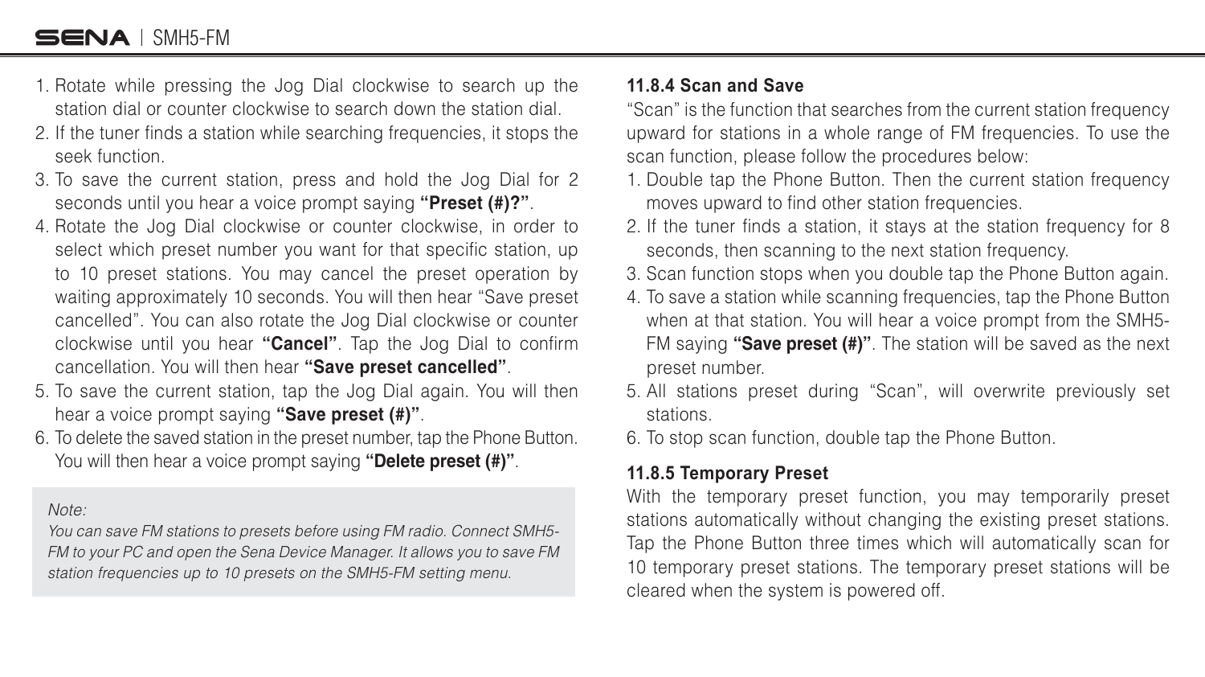- 1. Rotate while pressing the Jog Dial clockwise to search up the station dial or counter clockwise to search down the station dial.
- 2. If the tuner finds a station while searching frequencies, it stops the seek function.
- 3. To save the current station, press and hold the Jog Dial for 2 seconds until you hear a voice prompt saying **"Preset (#)?"**.
- 4. Rotate the Jog Dial clockwise or counter clockwise, in order to select which preset number you want for that specific station, up to 10 preset stations. You may cancel the preset operation by waiting approximately 10 seconds. You will then hear "Save preset cancelled". You can also rotate the Jog Dial clockwise or counter clockwise until you hear "**Cancel**". Tap the Jog Dial to confirm cancellation. You will then hear **"Save preset cancelled"**.
- 5. To save the current station, tap the Jog Dial again. You will then hear a voice prompt saying **"Save preset (#)"**.
- 6. To delete the saved station in the preset number, tap the Phone Button. You will then hear a voice prompt saying **"Delete preset (#)"**.

Note:

You can save FM stations to presets before using FM radio. Connect SMH5- FM to your PC and open the Sena Device Manager. It allows you to save FM station frequencies up to 10 presets on the SMH5-FM setting menu.

#### **11.8.4 Scan and Save**

"Scan" is the function that searches from the current station frequency upward for stations in a whole range of FM frequencies. To use the scan function, please follow the procedures below

- 1. Double tap the Phone Button. Then the current station frequency moves upward to find other station frequencies.
- 2. If the tuner finds a station, it stays at the station frequency for 8 seconds, then scanning to the next station frequency.
- 3. Scan function stops when you double tap the Phone Button again.
- 4. To save a station while scanning frequencies, tap the Phone Button when at that station. You will hear a voice prompt from the SMH5- FM saying **"Save preset (#)"**. The station will be saved as the next preset number.
- 5. All stations preset during "Scan", will overwrite previously set stations.
- 6. To stop scan function, double tap the Phone Button.

#### **11.8.5 Temporary Preset**

With the temporary preset function, you may temporarily preset stations automatically without changing the existing preset stations. Tap the Phone Button three times which will automatically scan for 10 temporary preset stations. The temporary preset stations will be cleared when the system is powered off.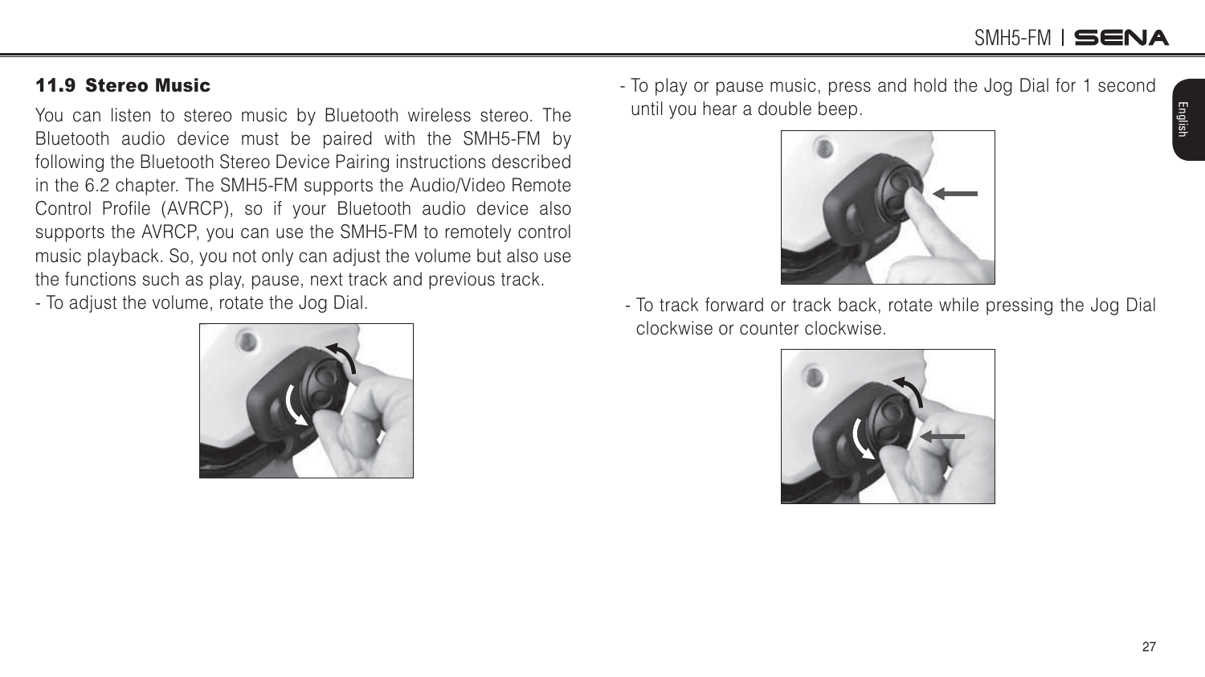English

#### <span id="page-26-0"></span>11.9 Stereo Music

You can listen to stereo music by Bluetooth wireless stereo. The Bluetooth audio device must be paired with the SMH5-FM by following the Bluetooth Stereo Device Pairing instructions described in the 6.2 chapter. The SMH5-FM supports the Audio/Video Remote Control Profile (AVRCP), so if your Bluetooth audio device also supports the AVRCP, you can use the SMH5-FM to remotely control music playback. So, you not only can adjust the volume but also use the functions such as play, pause, next track and previous track.

- To adjust the volume, rotate the Jog Dial.

- To play or pause music, press and hold the Jog Dial for 1 second until you hear a double beep.





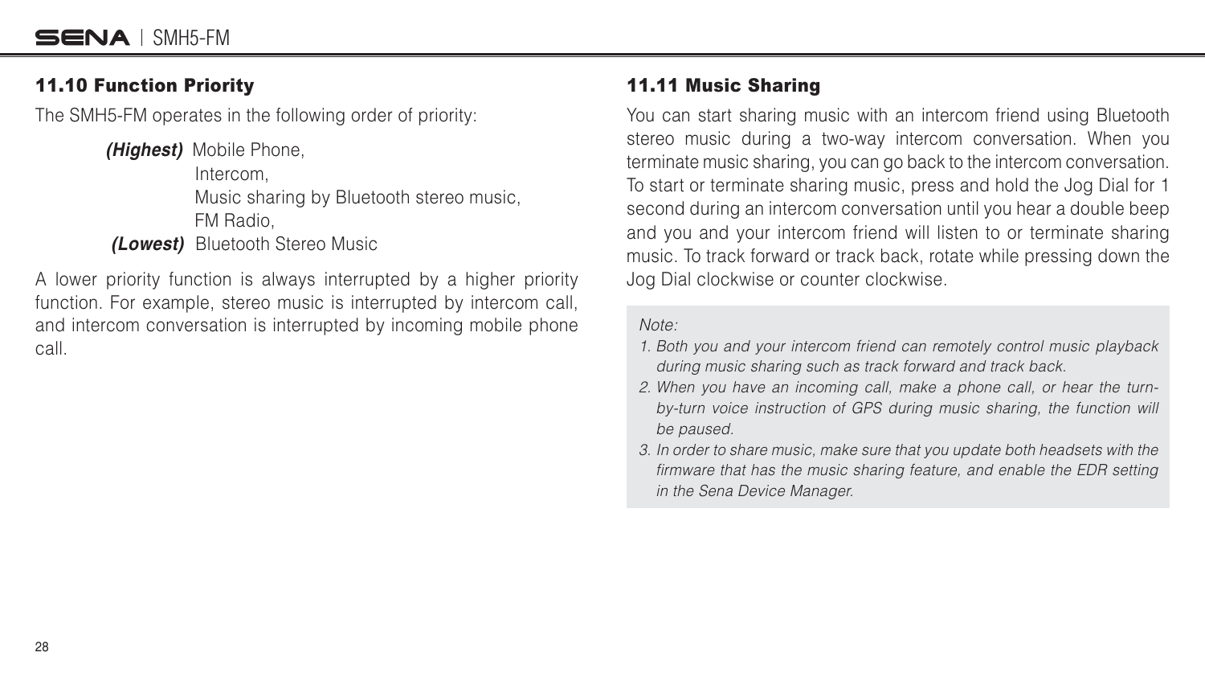#### <span id="page-27-0"></span>11.10 Function Priority

The SMH5-FM operates in the following order of priority

*(Highest)* Mobile Phone, Intercom, Music sharing by Bluetooth stereo music, FM Radio, *(Lowest)* Bluetooth Stereo Music

A lower priority function is always interrupted by a higher priority function. For example, stereo music is interrupted by intercom call, and intercom conversation is interrupted by incoming mobile phone call.

#### 11.11 Music Sharing

You can start sharing music with an intercom friend using Bluetooth stereo music during a two-way intercom conversation. When you terminate music sharing, you can go back to the intercom conversation. To start or terminate sharing music, press and hold the Jog Dial for 1 second during an intercom conversation until you hear a double beep and you and your intercom friend will listen to or terminate sharing music. To track forward or track back, rotate while pressing down the Jog Dial clockwise or counter clockwise.

Note:

- 1. Both you and your intercom friend can remotely control music playback during music sharing such as track forward and track back.
- 2. When you have an incoming call, make a phone call, or hear the turnby-turn voice instruction of GPS during music sharing, the function will be paused.
- 3. In order to share music, make sure that you update both headsets with the firmware that has the music sharing feature, and enable the EDR setting in the Sena Device Manager.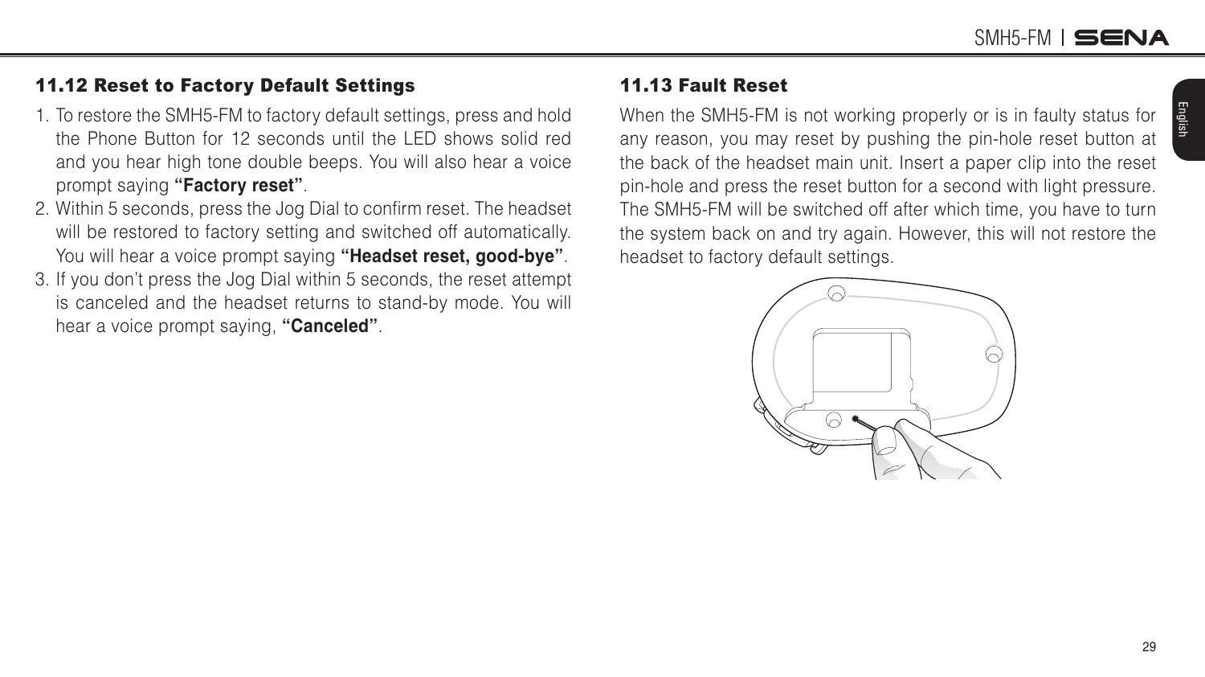English

#### <span id="page-28-1"></span><span id="page-28-0"></span>11.12 Reset to Factory Default Settings

- 1. To restore the SMH5-FM to factory default settings, press and hold the Phone Button for 12 seconds until the LED shows solid red and you hear high tone double beeps. You will also hear a voice prompt saying **"Factory reset"**.
- 2. Within 5 seconds, press the Jog Dial to confirm reset. The headset will be restored to factory setting and switched off automatically. You will hear a voice prompt saying **"Headset reset, good-bye"**.
- 3. If you don't press the Jog Dial within 5 seconds, the reset attempt is canceled and the headset returns to stand-by mode. You will hear a voice prompt saying, **"Canceled"**.

#### 11.13 Fault Reset

When the SMH5-FM is not working properly or is in faulty status for any reason, you may reset by pushing the pin-hole reset button at the back of the headset main unit. Insert a paper clip into the reset pin-hole and press the reset button for a second with light pressure. The SMH5-FM will be switched off after which time, you have to turn the system back on and try again. However, this will not restore the headset to factory default settings.

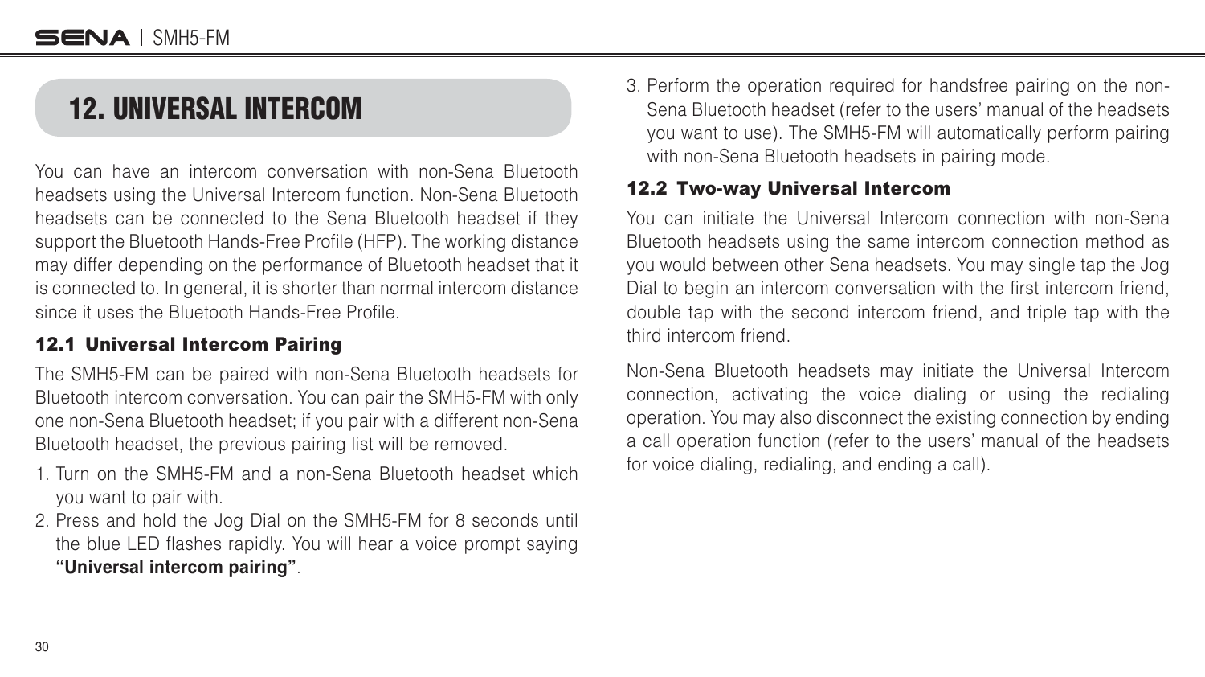### <span id="page-29-0"></span>12. UNIVERSAL INTERCOM

You can have an intercom conversation with non-Sena Bluetooth headsets using the Universal Intercom function. Non-Sena Bluetooth headsets can be connected to the Sena Bluetooth headset if they support the Bluetooth Hands-Free Profile (HFP). The working distance may differ depending on the performance of Bluetooth headset that it is connected to. In general, it is shorter than normal intercom distance since it uses the Bluetooth Hands-Free Profile.

#### 12.1 Universal Intercom Pairing

The SMH5-FM can be paired with non-Sena Bluetooth headsets for Bluetooth intercom conversation. You can pair the SMH5-FM with only one non-Sena Bluetooth headset; if you pair with a different non-Sena Bluetooth headset, the previous pairing list will be removed.

- 1. Turn on the SMH5-FM and a non-Sena Bluetooth headset which you want to pair with.
- 2. Press and hold the Jog Dial on the SMH5-FM for 8 seconds until the blue LED flashes rapidly. You will hear a voice prompt saying **"Universal intercom pairing"**.

3. Perform the operation required for handsfree pairing on the non-Sena Bluetooth headset (refer to the users' manual of the headsets you want to use). The SMH5-FM will automatically perform pairing with non-Sena Bluetooth headsets in pairing mode.

#### 12.2 Two-way Universal Intercom

You can initiate the Universal Intercom connection with non-Sena Bluetooth headsets using the same intercom connection method as you would between other Sena headsets. You may single tap the Jog Dial to begin an intercom conversation with the first intercom friend, double tap with the second intercom friend, and triple tap with the third intercom friend.

Non-Sena Bluetooth headsets may initiate the Universal Intercom connection, activating the voice dialing or using the redialing operation. You may also disconnect the existing connection by ending a call operation function (refer to the users' manual of the headsets for voice dialing, redialing, and ending a call).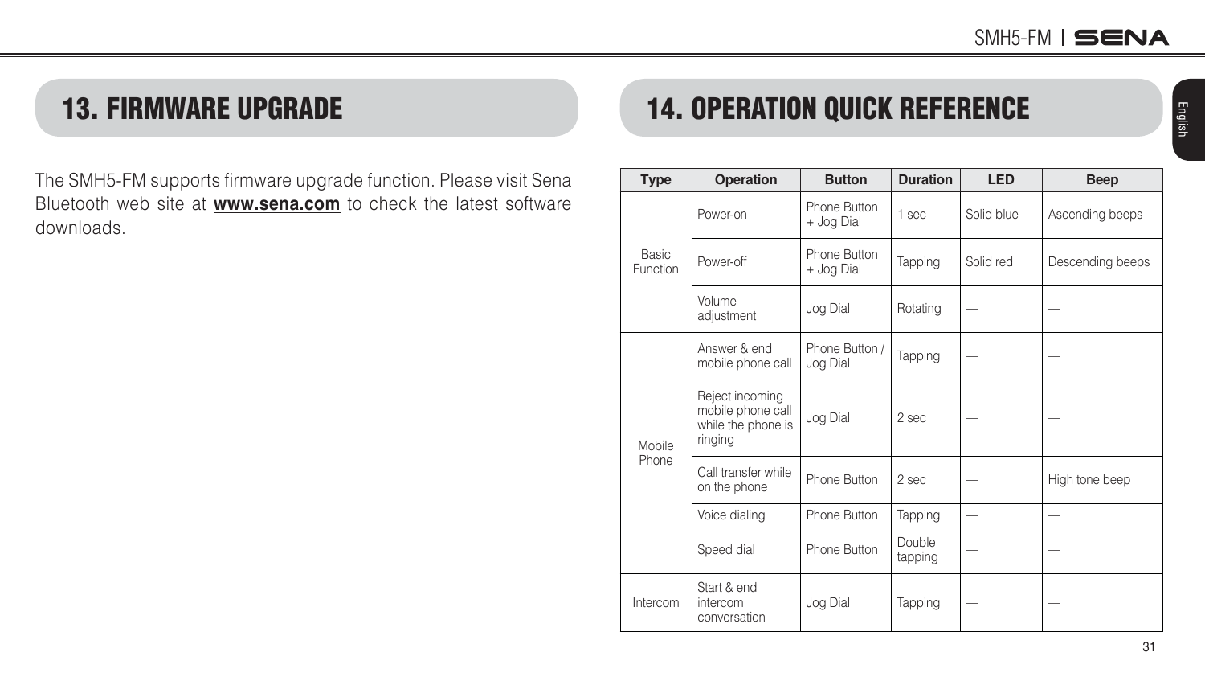### <span id="page-30-0"></span>13. FIRMWARE UPGRADE

The SMH5-FM supports firmware upgrade function. Please visit Sena Bluetooth web site at **<www.sena.com>** to check the latest software downloads.

#### 14. OPERATION QUICK REFERENCE **Type Operation Button Duration LED Beep** Basic Function Power-on Phone Button<br>+ Jog Dial 1 sec | Solid blue | Ascending beeps Power-off Phone Button<br>+ Joa Dial Tapping Solid red Bescending beeps Volume volume<br>adjustment | Jog Dial | Rotating Mobile Phone Answer & end mobile phone call Phone Button /  $\left| \begin{array}{c}$ Priorie Button /  $\end{array} \right|$  Tapping Reject incoming mobile phone call while the phone is ringing  $Joq$  Dial  $\vert$  2 sec Call transfer while on the phone Phone Button 2 sec — High tone beep Voice dialing  $\vert$  Phone Button  $\vert$  Tapping  $\vert$   $\vert$   $\vert$   $\vert$   $\vert$   $\vert$ Speed dial Phone Button Double tapping

Jog Dial | Tapping

Intercom

Start & end intercom conversation English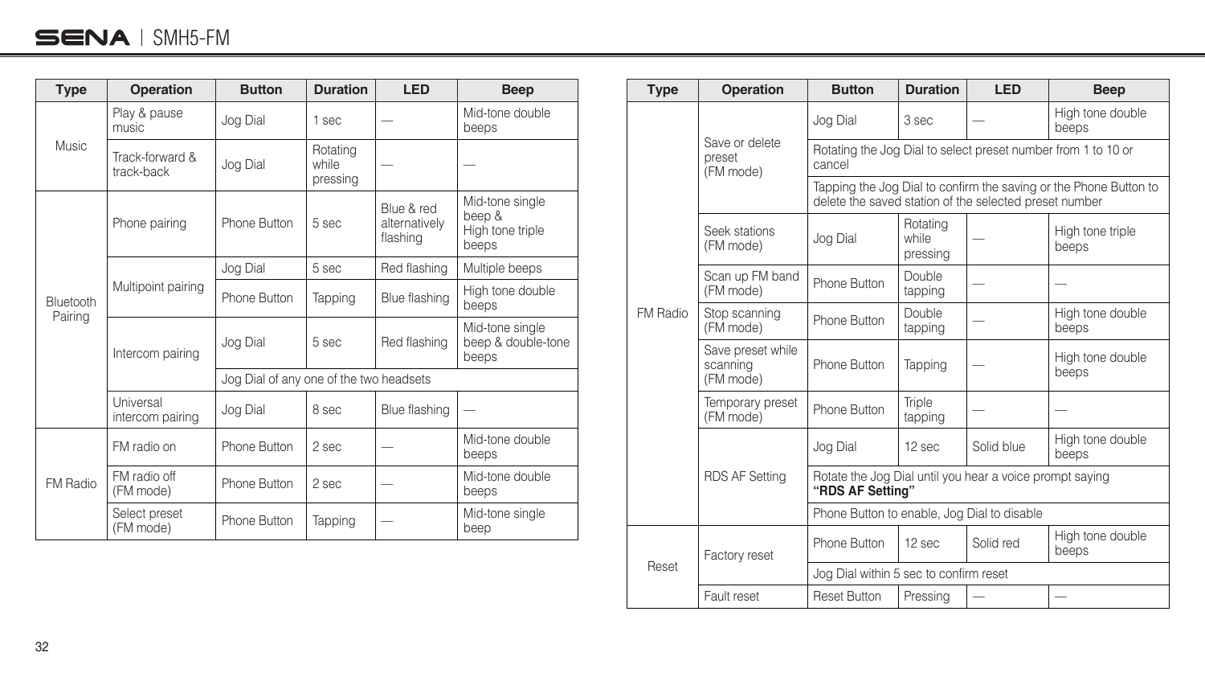#### $SENA$  | SMH5-FM

| <b>Type</b>          | Operation                     | <b>Button</b>                           | <b>Duration</b>               | <b>LED</b>                              | <b>Beep</b>                                            |
|----------------------|-------------------------------|-----------------------------------------|-------------------------------|-----------------------------------------|--------------------------------------------------------|
| <b>Music</b>         | Play & pause<br>music         | Jog Dial                                | 1 sec                         |                                         | Mid-tone double<br>beeps                               |
|                      | Track-forward &<br>track-back | Jog Dial                                | Rotating<br>while<br>pressing |                                         |                                                        |
| Bluetooth<br>Pairing | Phone pairing                 | Phone Button                            | 5 sec                         | Blue & red<br>alternatively<br>flashing | Mid-tone single<br>beep &<br>High tone triple<br>beeps |
|                      | Multipoint pairing            | Jog Dial                                | 5 sec                         | Red flashing                            | Multiple beeps                                         |
|                      |                               | Phone Button                            | Tapping                       | Blue flashing                           | High tone double<br>beeps                              |
|                      | Intercom pairing              | Jog Dial                                | 5 sec                         | Red flashing                            | Mid-tone single<br>beep & double-tone<br>beeps         |
|                      |                               | Jog Dial of any one of the two headsets |                               |                                         |                                                        |
|                      | Universal<br>intercom pairing | Jog Dial                                | 8 sec                         | Blue flashing                           |                                                        |
| FM Radio             | FM radio on                   | Phone Button                            | 2 sec                         |                                         | Mid-tone double<br>beeps                               |
|                      | FM radio off<br>(FM mode)     | Phone Button                            | 2 sec                         |                                         | Mid-tone double<br>beeps                               |
|                      | Select preset<br>(FM mode)    | Phone Button                            | Tapping                       |                                         | Mid-tone single<br>beep                                |

| <b>Type</b> | Operation                                  | <b>Button</b>                                                                                                               | <b>Duration</b>               | <b>LED</b> | <b>Beep</b>               |  |
|-------------|--------------------------------------------|-----------------------------------------------------------------------------------------------------------------------------|-------------------------------|------------|---------------------------|--|
|             | Save or delete<br>preset<br>(FM mode)      | Jog Dial                                                                                                                    | 3 sec                         |            | High tone double<br>beeps |  |
|             |                                            | Rotating the Jog Dial to select preset number from 1 to 10 or<br>cancel                                                     |                               |            |                           |  |
|             |                                            | Tapping the Jog Dial to confirm the saving or the Phone Button to<br>delete the saved station of the selected preset number |                               |            |                           |  |
|             | Seek stations<br>(FM mode)                 | Jog Dial                                                                                                                    | Rotating<br>while<br>pressing |            | High tone triple<br>beeps |  |
|             | Scan up FM band<br>(FM mode)               | Phone Button                                                                                                                | Double<br>tapping             |            |                           |  |
| FM Radio    | Stop scanning<br>(FM mode)                 | Phone Button                                                                                                                | Double<br>tapping             |            | High tone double<br>beeps |  |
|             | Save preset while<br>scanning<br>(FM mode) | Phone Button                                                                                                                | Tapping                       |            | High tone double<br>beeps |  |
|             | Temporary preset<br>(FM mode)              | Phone Button                                                                                                                | Triple<br>tapping             |            |                           |  |
|             | <b>RDS AF Setting</b>                      | Jog Dial                                                                                                                    | 12 sec                        | Solid blue | High tone double<br>beeps |  |
|             |                                            | Rotate the Jog Dial until you hear a voice prompt saying<br>"RDS AF Setting"                                                |                               |            |                           |  |
|             |                                            | Phone Button to enable, Jog Dial to disable                                                                                 |                               |            |                           |  |
| Reset       | Factory reset                              | Phone Button                                                                                                                | 12 sec                        | Solid red  | High tone double<br>beeps |  |
|             |                                            | Jog Dial within 5 sec to confirm reset                                                                                      |                               |            |                           |  |
|             | Fault reset                                | <b>Reset Button</b>                                                                                                         | Pressing                      |            |                           |  |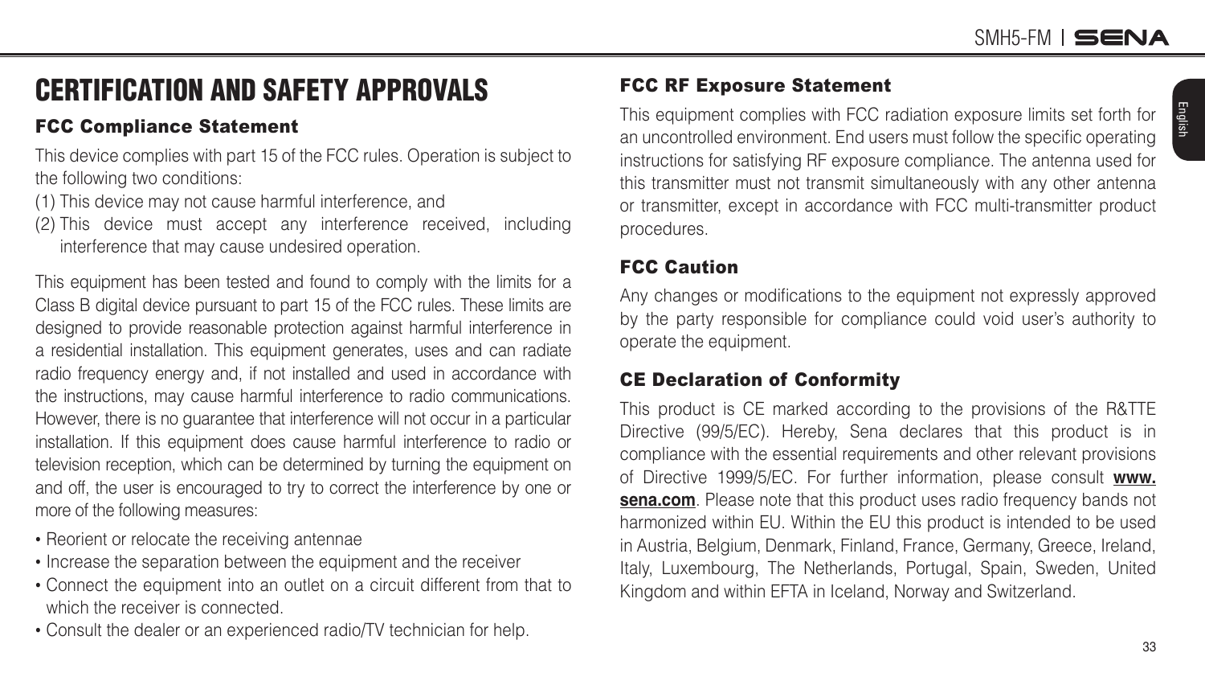### <span id="page-32-0"></span>CERTIFICATION AND SAFETY APPROVALS

#### FCC Compliance Statement

This device complies with part 15 of the FCC rules. Operation is subject to the following two conditions

- (1) This device may not cause harmful interference, and
- (2) This device must accept any interference received, including interference that may cause undesired operation.

This equipment has been tested and found to comply with the limits for a Class B digital device pursuant to part 15 of the FCC rules. These limits are designed to provide reasonable protection against harmful interference in a residential installation. This equipment generates, uses and can radiate radio frequency energy and, if not installed and used in accordance with the instructions, may cause harmful interference to radio communications. However, there is no guarantee that interference will not occur in a particular installation. If this equipment does cause harmful interference to radio or television reception, which can be determined by turning the equipment on and off, the user is encouraged to try to correct the interference by one or more of the following measures

- Reorient or relocate the receiving antennae
- Increase the separation between the equipment and the receiver
- Connect the equipment into an outlet on a circuit different from that to which the receiver is connected.
- Consult the dealer or an experienced radio/TV technician for help.

#### FCC RF Exposure Statement

This equipment complies with FCC radiation exposure limits set forth for an uncontrolled environment. End users must follow the specific operating instructions for satisfying RF exposure compliance. The antenna used for this transmitter must not transmit simultaneously with any other antenna or transmitter, except in accordance with FCC multi-transmitter product procedures.

#### FCC Caution

Any changes or modifications to the equipment not expressly approved by the party responsible for compliance could void user's authority to operate the equipment.

#### CE Declaration of Conformity

This product is CE marked according to the provisions of the R&TTE Directive (99/5/EC). Hereby, Sena declares that this product is in compliance with the essential requirements and other relevant provisions of Directive 1999/5/EC. For further information, please consult **[www.](www.sena.com) [sena.com](www.sena.com)**. Please note that this product uses radio frequency bands not harmonized within EU. Within the EU this product is intended to be used in Austria, Belgium, Denmark, Finland, France, Germany, Greece, Ireland, Italy, Luxembourg, The Netherlands, Portugal, Spain, Sweden, United Kingdom and within EFTA in Iceland, Norway and Switzerland.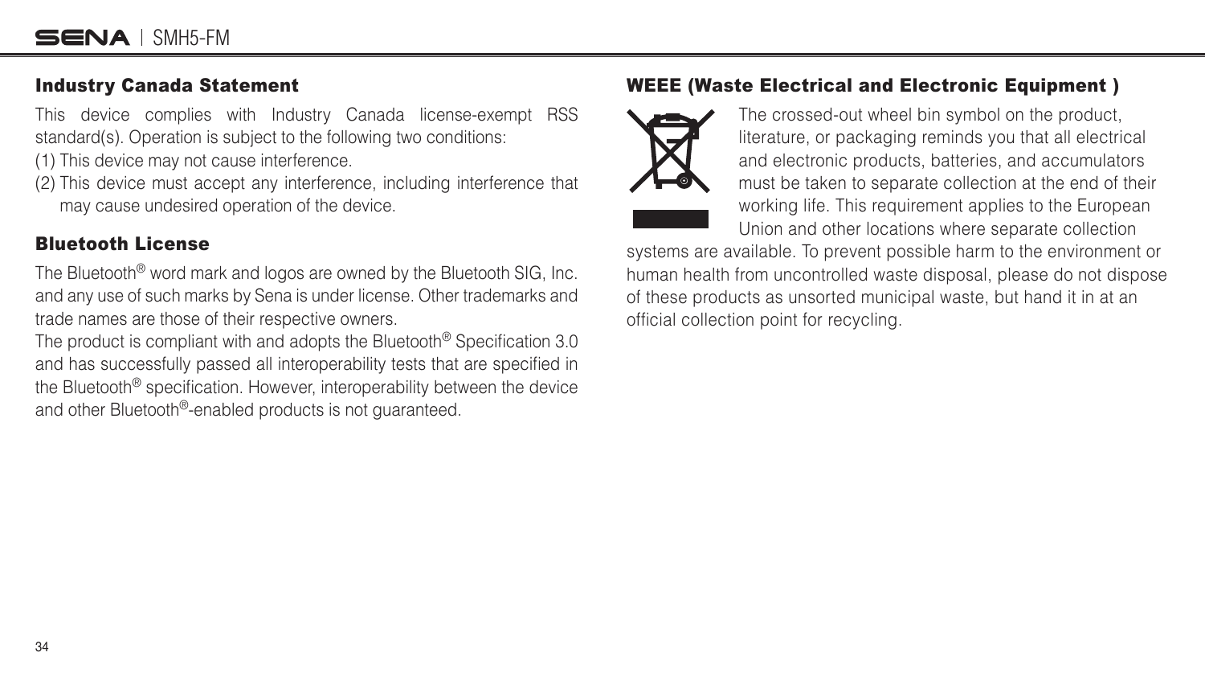#### <span id="page-33-0"></span>Industry Canada Statement

This device complies with Industry Canada license-exempt RSS standard(s). Operation is subject to the following two conditions:

(1) This device may not cause interference.

(2) This device must accept any interference, including interference that may cause undesired operation of the device.

#### Bluetooth License

The Bluetooth® word mark and logos are owned by the Bluetooth SIG, Inc. and any use of such marks by Sena is under license. Other trademarks and trade names are those of their respective owners.

The product is compliant with and adopts the Bluetooth<sup>®</sup> Specification 3.0 and has successfully passed all interoperability tests that are specified in the Bluetooth<sup>®</sup> specification. However, interoperability between the device and other Bluetooth®-enabled products is not guaranteed.

#### WEEE (Waste Electrical and Electronic Equipment )



The crossed-out wheel bin symbol on the product, literature, or packaging reminds you that all electrical and electronic products, batteries, and accumulators must be taken to separate collection at the end of their working life. This requirement applies to the European Union and other locations where separate collection

systems are available. To prevent possible harm to the environment or human health from uncontrolled waste disposal, please do not dispose of these products as unsorted municipal waste, but hand it in at an official collection point for recycling.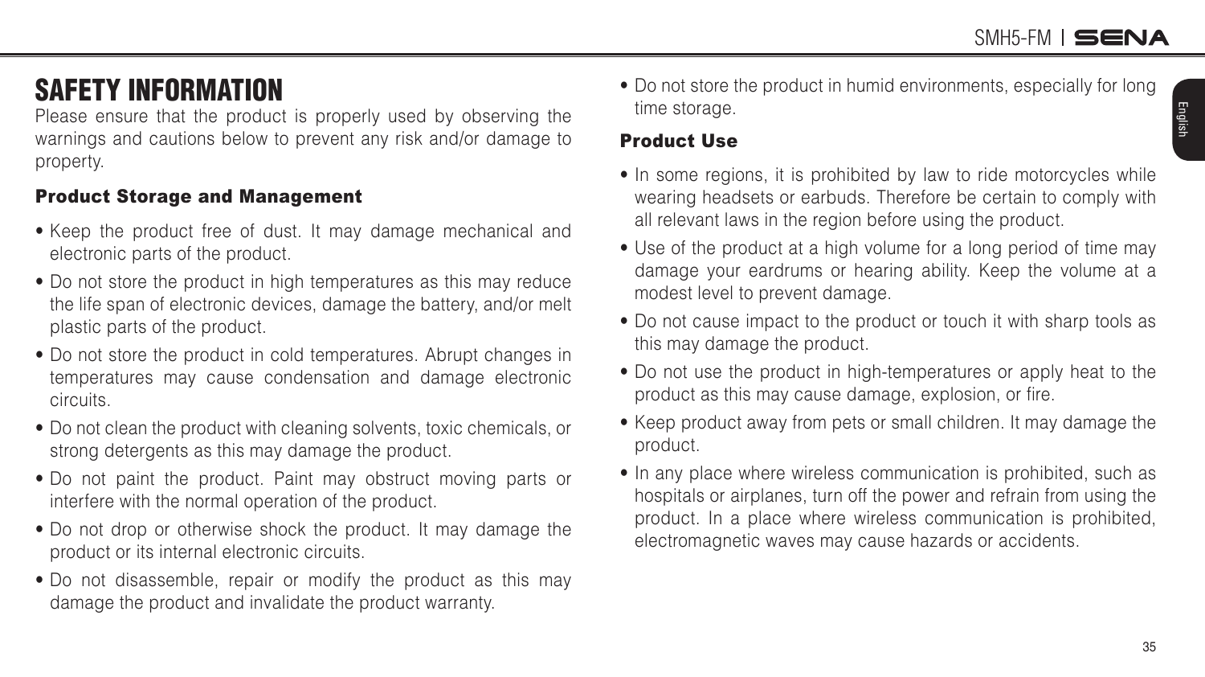### <span id="page-34-0"></span>SAFETY INFORMATION

Please ensure that the product is properly used by observing the warnings and cautions below to prevent any risk and/or damage to property.

#### Product Storage and Management

- Keep the product free of dust. It may damage mechanical and electronic parts of the product.
- Do not store the product in high temperatures as this may reduce the life span of electronic devices, damage the battery, and/or melt plastic parts of the product.
- Do not store the product in cold temperatures. Abrupt changes in temperatures may cause condensation and damage electronic circuits.
- Do not clean the product with cleaning solvents, toxic chemicals, or strong detergents as this may damage the product.
- Do not paint the product. Paint may obstruct moving parts or interfere with the normal operation of the product.
- Do not drop or otherwise shock the product. It may damage the product or its internal electronic circuits.
- Do not disassemble, repair or modify the product as this may damage the product and invalidate the product warranty.

• Do not store the product in humid environments, especially for long time storage.

#### Product Use

- In some regions, it is prohibited by law to ride motorcycles while wearing headsets or earbuds. Therefore be certain to comply with all relevant laws in the region before using the product.
- Use of the product at a high volume for a long period of time may damage your eardrums or hearing ability. Keep the volume at a modest level to prevent damage.
- Do not cause impact to the product or touch it with sharp tools as this may damage the product.
- Do not use the product in high-temperatures or apply heat to the product as this may cause damage, explosion, or fire.
- Keep product away from pets or small children. It may damage the product.
- In any place where wireless communication is prohibited, such as hospitals or airplanes, turn off the power and refrain from using the product. In a place where wireless communication is prohibited, electromagnetic waves may cause hazards or accidents.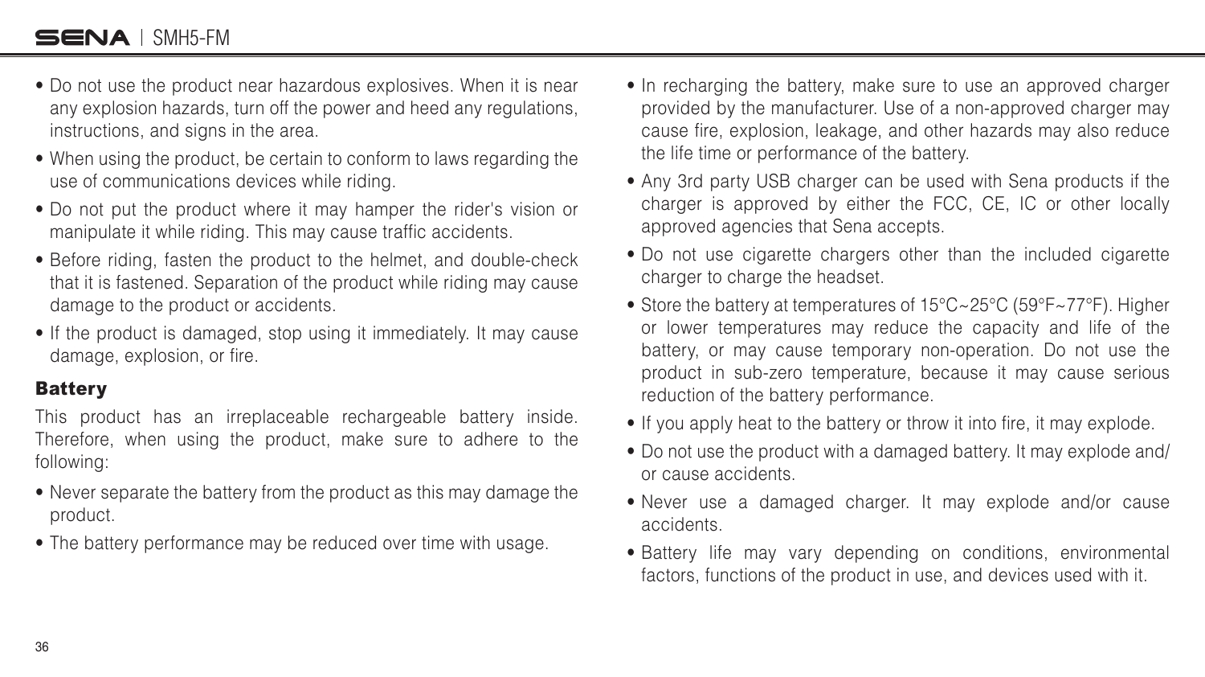#### <span id="page-35-0"></span>SENA I SMH5-FM

- Do not use the product near hazardous explosives. When it is near any explosion hazards, turn off the power and heed any regulations, instructions, and signs in the area.
- When using the product, be certain to conform to laws regarding the use of communications devices while riding.
- Do not put the product where it may hamper the rider's vision or manipulate it while riding. This may cause traffic accidents.
- Before riding, fasten the product to the helmet, and double-check that it is fastened. Separation of the product while riding may cause damage to the product or accidents.
- If the product is damaged, stop using it immediately. It may cause damage, explosion, or fire.

#### **Battery**

This product has an irreplaceable rechargeable battery inside. Therefore, when using the product, make sure to adhere to the following

- Never separate the battery from the product as this may damage the product.
- The battery performance may be reduced over time with usage.
- In recharging the battery, make sure to use an approved charger provided by the manufacturer. Use of a non-approved charger may cause fire, explosion, leakage, and other hazards may also reduce the life time or performance of the battery.
- Any 3rd party USB charger can be used with Sena products if the charger is approved by either the FCC, CE, IC or other locally approved agencies that Sena accepts.
- Do not use cigarette chargers other than the included cigarette charger to charge the headset.
- Store the battery at temperatures of 15°C~25°C (59°F~77°F). Higher or lower temperatures may reduce the capacity and life of the battery, or may cause temporary non-operation. Do not use the product in sub-zero temperature, because it may cause serious reduction of the battery performance.
- If you apply heat to the battery or throw it into fire, it may explode.
- Do not use the product with a damaged battery. It may explode and/ or cause accidents.
- Never use a damaged charger. It may explode and/or cause accidents.
- Battery life may vary depending on conditions, environmental factors, functions of the product in use, and devices used with it.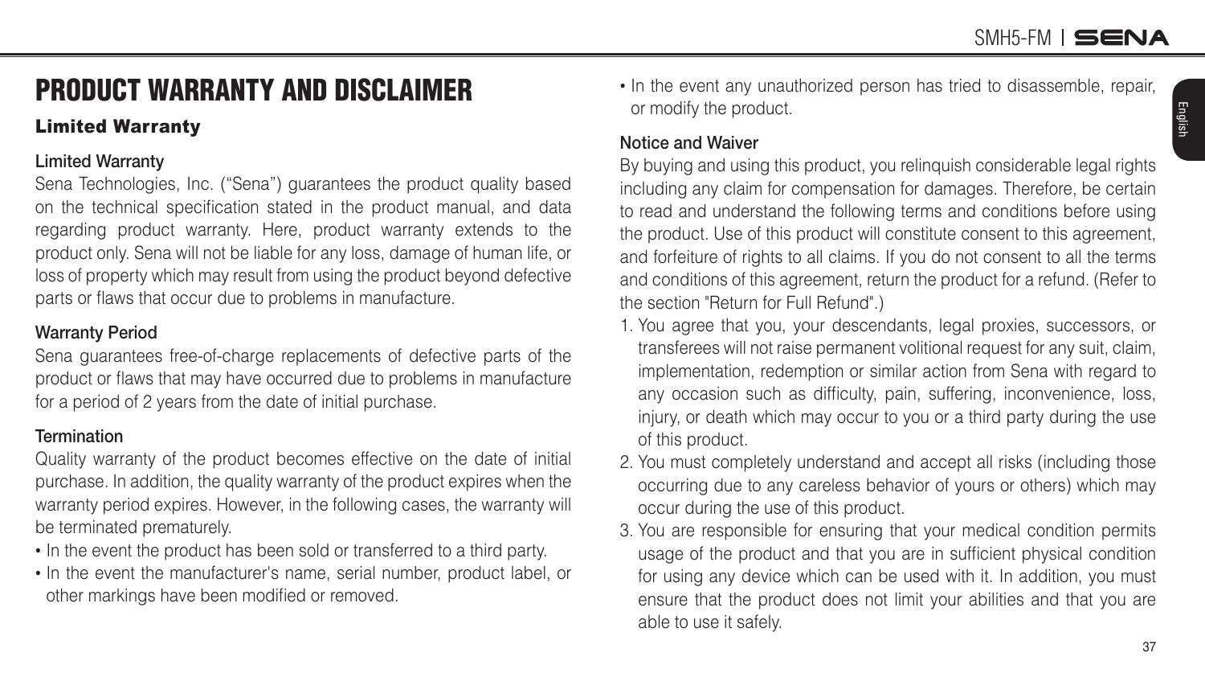English

### <span id="page-36-0"></span>PRODUCT WARRANTY AND DISCLAIMER

#### Limited Warranty

#### **Limited Warranty**

Sena Technologies, Inc. ("Sena") guarantees the product quality based on the technical specification stated in the product manual, and data regarding product warranty. Here, product warranty extends to the product only. Sena will not be liable for any loss, damage of human life, or loss of property which may result from using the product beyond defective parts or flaws that occur due to problems in manufacture.

#### **Warranty Period**

Sena guarantees free-of-charge replacements of defective parts of the product or flaws that may have occurred due to problems in manufacture for a period of 2 years from the date of initial purchase.

#### **Termination**

Quality warranty of the product becomes effective on the date of initial purchase. In addition, the quality warranty of the product expires when the warranty period expires. However, in the following cases, the warranty will be terminated prematurely.

- In the event the product has been sold or transferred to a third party.
- In the event the manufacturer's name, serial number, product label, or other markings have been modified or removed.

• In the event any unauthorized person has tried to disassemble, repair, or modify the product.

#### **Notice and Waiver**

By buying and using this product, you relinquish considerable legal rights including any claim for compensation for damages. Therefore, be certain to read and understand the following terms and conditions before using the product. Use of this product will constitute consent to this agreement, and forfeiture of rights to all claims. If you do not consent to all the terms and conditions of this agreement, return the product for a refund. (Refer to the section "Return for Full Refund".)

- 1. You agree that you, your descendants, legal proxies, successors, or transferees will not raise permanent volitional request for any suit, claim, implementation, redemption or similar action from Sena with regard to any occasion such as difficulty, pain, suffering, inconvenience, loss, injury, or death which may occur to you or a third party during the use of this product.
- 2. You must completely understand and accept all risks (including those occurring due to any careless behavior of yours or others) which may occur during the use of this product.
- 3. You are responsible for ensuring that your medical condition permits usage of the product and that you are in sufficient physical condition for using any device which can be used with it. In addition, you must ensure that the product does not limit your abilities and that you are able to use it safely.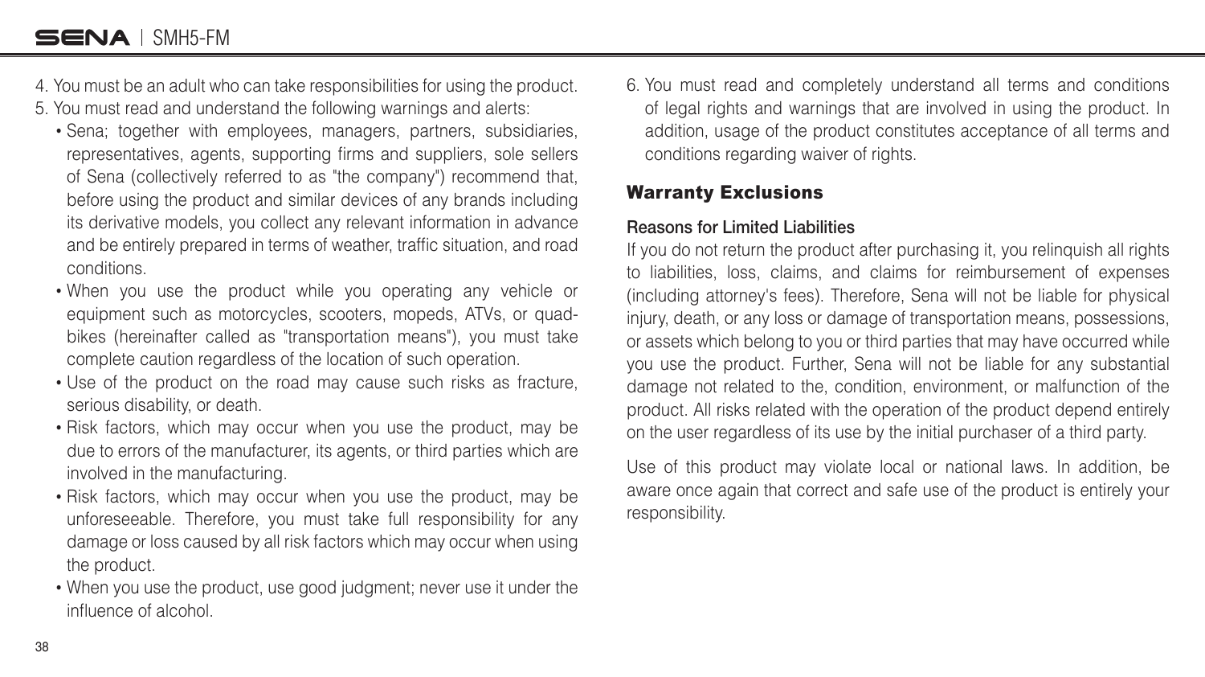- <span id="page-37-0"></span>4. You must be an adult who can take responsibilities for using the product.
- 5. You must read and understand the following warnings and alerts
	- Sena; together with employees, managers, partners, subsidiaries, representatives, agents, supporting firms and suppliers, sole sellers of Sena (collectively referred to as "the company") recommend that, before using the product and similar devices of any brands including its derivative models, you collect any relevant information in advance and be entirely prepared in terms of weather, traffic situation, and road conditions.
	- When you use the product while you operating any vehicle or equipment such as motorcycles, scooters, mopeds, ATVs, or quadbikes (hereinafter called as "transportation means"), you must take complete caution regardless of the location of such operation.
	- Use of the product on the road may cause such risks as fracture, serious disability, or death.
	- Risk factors, which may occur when you use the product, may be due to errors of the manufacturer, its agents, or third parties which are involved in the manufacturing.
	- Risk factors, which may occur when you use the product, may be unforeseeable. Therefore, you must take full responsibility for any damage or loss caused by all risk factors which may occur when using the product.
	- When you use the product, use good judgment; never use it under the influence of alcohol.

6. You must read and completely understand all terms and conditions of legal rights and warnings that are involved in using the product. In addition, usage of the product constitutes acceptance of all terms and conditions regarding waiver of rights.

#### Warranty Exclusions

#### **Reasons for Limited Liabilities**

If you do not return the product after purchasing it, you relinquish all rights to liabilities, loss, claims, and claims for reimbursement of expenses (including attorney's fees). Therefore, Sena will not be liable for physical injury, death, or any loss or damage of transportation means, possessions, or assets which belong to you or third parties that may have occurred while you use the product. Further, Sena will not be liable for any substantial damage not related to the, condition, environment, or malfunction of the product. All risks related with the operation of the product depend entirely on the user regardless of its use by the initial purchaser of a third party.

Use of this product may violate local or national laws. In addition, be aware once again that correct and safe use of the product is entirely your responsibility.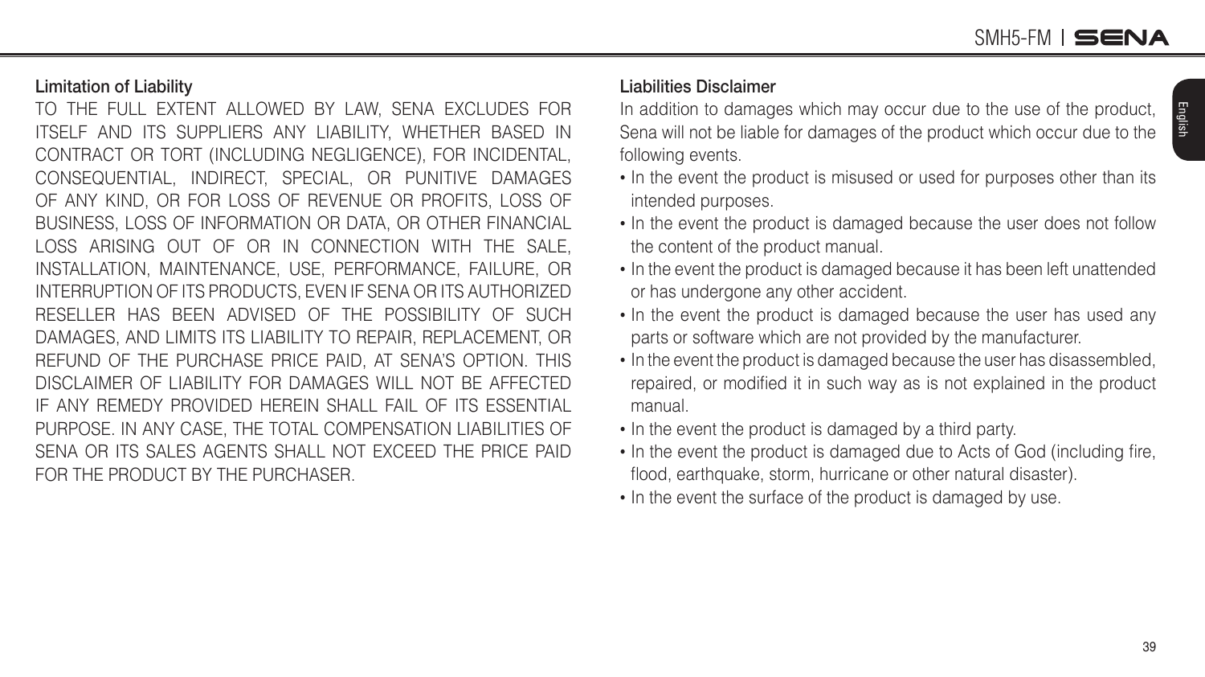English

#### **Limitation of Liability**

TO THE FULL EXTENT ALLOWED BY LAW, SENA EXCLUDES FOR ITSELF AND ITS SUPPLIERS ANY LIABILITY, WHETHER BASED IN CONTRACT OR TORT (INCLUDING NEGLIGENCE), FOR INCIDENTAL, CONSEQUENTIAL, INDIRECT, SPECIAL, OR PUNITIVE DAMAGES OF ANY KIND, OR FOR LOSS OF REVENUE OR PROFITS, LOSS OF BUSINESS, LOSS OF INFORMATION OR DATA, OR OTHER FINANCIAL LOSS ARISING OUT OF OR IN CONNECTION WITH THE SALE, INSTALLATION, MAINTENANCE, USE, PERFORMANCE, FAILURE, OR INTERRUPTION OF ITS PRODUCTS, EVEN IF SENA OR ITS AUTHORIZED RESELLER HAS BEEN ADVISED OF THE POSSIBILITY OF SUCH DAMAGES, AND LIMITS ITS LIABILITY TO REPAIR, REPLACEMENT, OR REFUND OF THE PURCHASE PRICE PAID, AT SENA'S OPTION. THIS DISCLAIMER OF LIABILITY FOR DAMAGES WILL NOT BE AFFECTED IF ANY REMEDY PROVIDED HEREIN SHALL FAIL OF ITS ESSENTIAL PURPOSE. IN ANY CASE, THE TOTAL COMPENSATION LIABILITIES OF SENA OR ITS SALES AGENTS SHALL NOT EXCEED THE PRICE PAID FOR THE PRODUCT BY THE PURCHASER.

#### **Liabilities Disclaimer**

In addition to damages which may occur due to the use of the product, Sena will not be liable for damages of the product which occur due to the following events.

- In the event the product is misused or used for purposes other than its intended purposes.
- In the event the product is damaged because the user does not follow the content of the product manual.
- In the event the product is damaged because it has been left unattended or has undergone any other accident.
- In the event the product is damaged because the user has used any parts or software which are not provided by the manufacturer.
- In the event the product is damaged because the user has disassembled, repaired, or modified it in such way as is not explained in the product manual.
- In the event the product is damaged by a third party.
- In the event the product is damaged due to Acts of God (including fire, flood, earthquake, storm, hurricane or other natural disaster).
- In the event the surface of the product is damaged by use.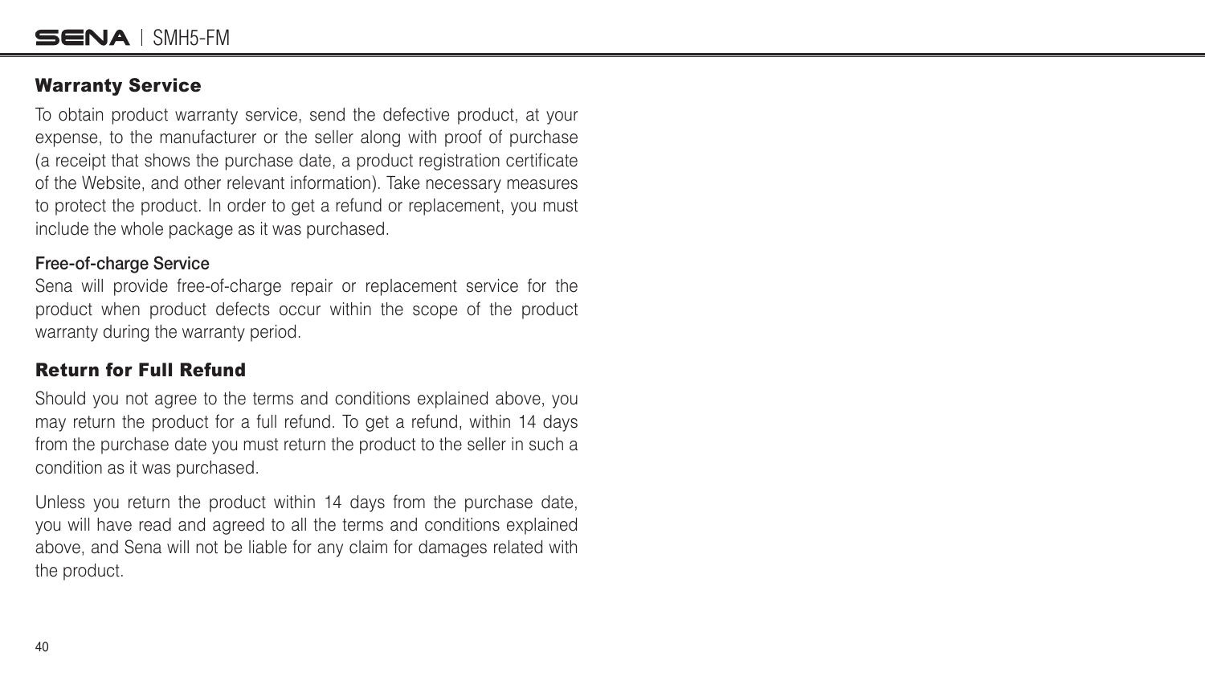#### <span id="page-39-0"></span>Warranty Service

To obtain product warranty service, send the defective product, at your expense, to the manufacturer or the seller along with proof of purchase (a receipt that shows the purchase date, a product registration certilcate of the Website, and other relevant information). Take necessary measures to protect the product. In order to get a refund or replacement, you must include the whole package as it was purchased.

#### **Free-of-charge Service**

Sena will provide free-of-charge repair or replacement service for the product when product defects occur within the scope of the product warranty during the warranty period.

#### Return for Full Refund

Should you not agree to the terms and conditions explained above, you may return the product for a full refund. To get a refund, within 14 days from the purchase date you must return the product to the seller in such a condition as it was purchased.

Unless you return the product within 14 days from the purchase date, you will have read and agreed to all the terms and conditions explained above, and Sena will not be liable for any claim for damages related with the product.